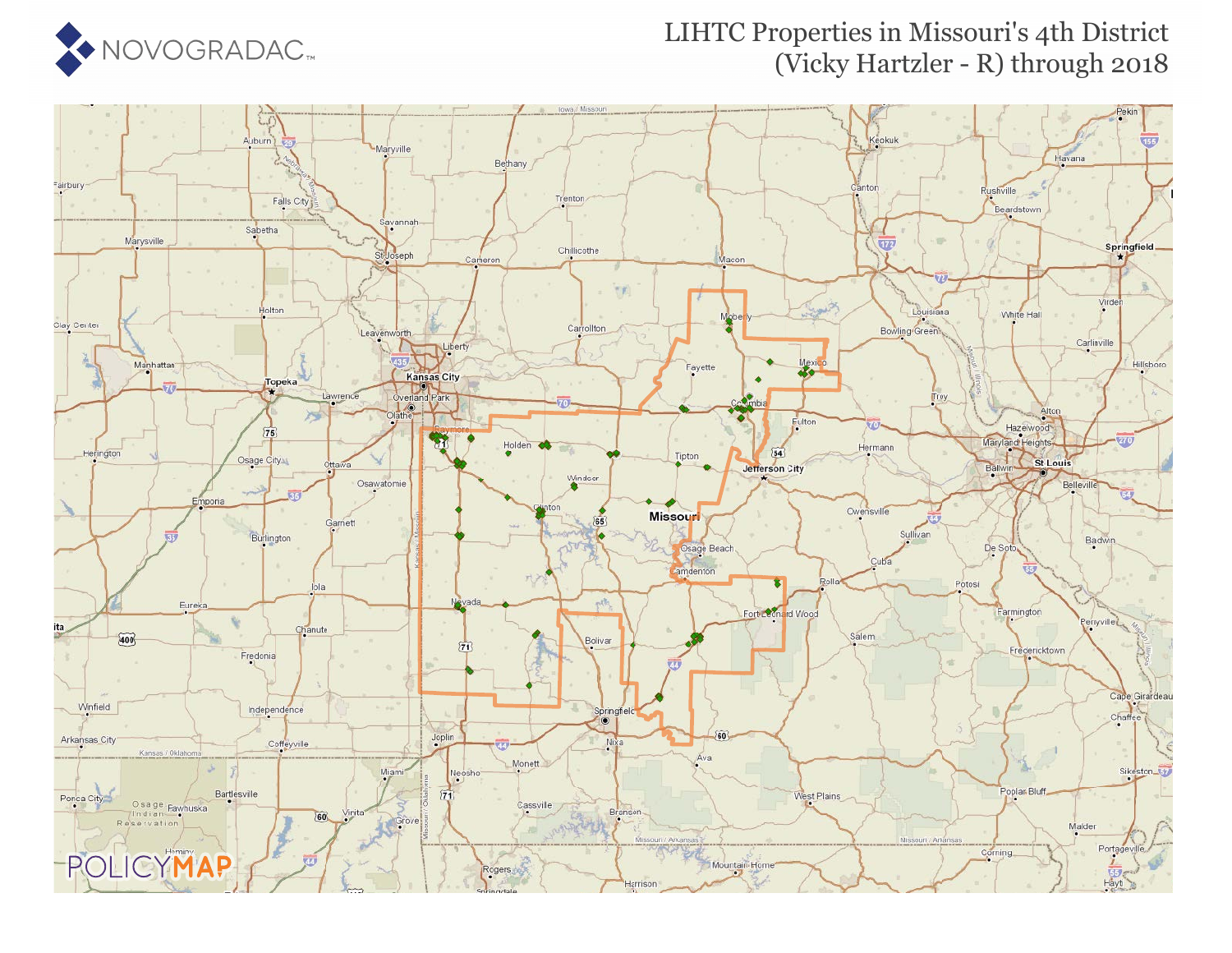

### LIHTC Properties in Missouri's 4th District (Vicky Hartzler - R) through 2018

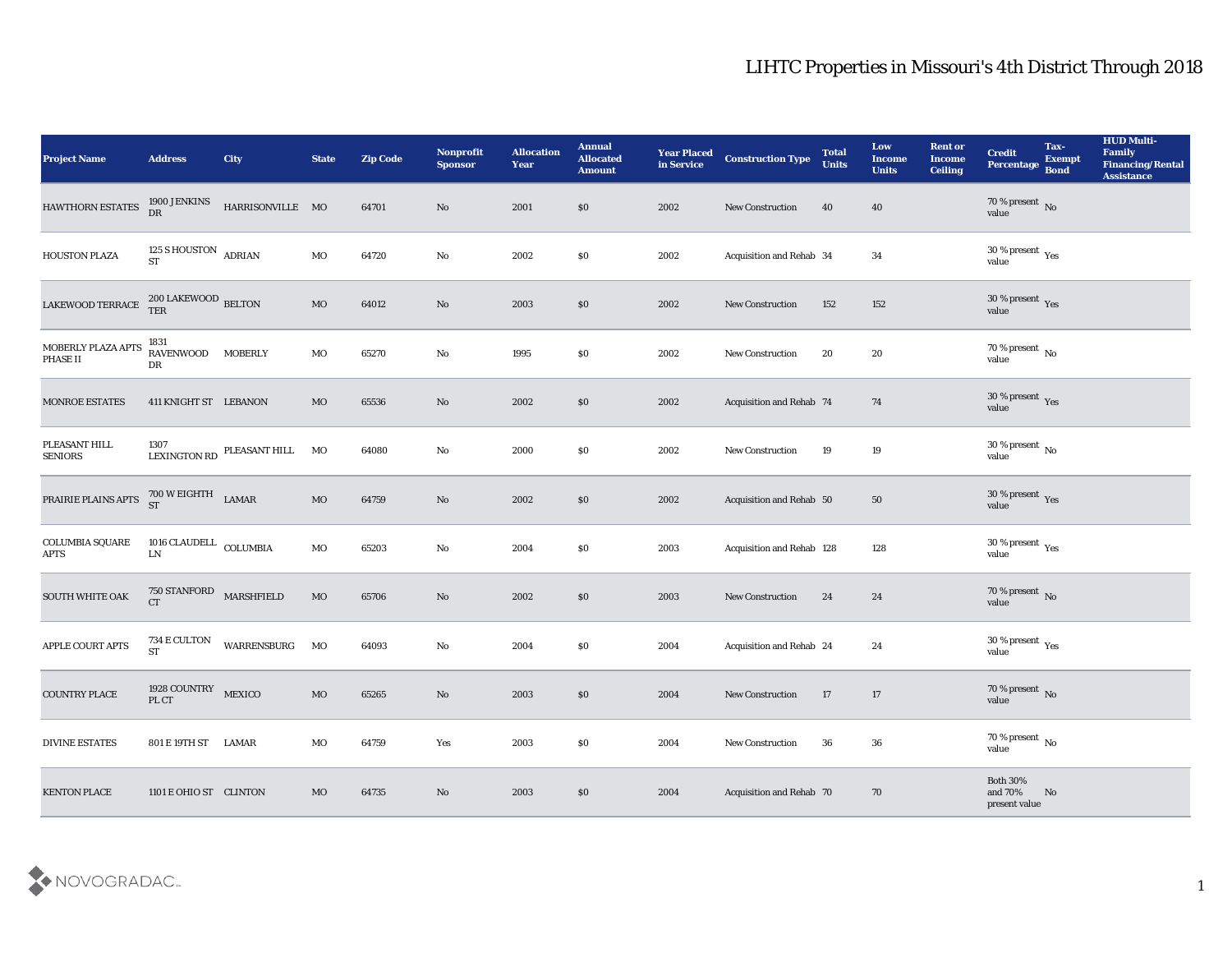| <b>Project Name</b>                    | <b>Address</b>                       | <b>City</b>                   | <b>State</b> | <b>Zip Code</b> | Nonprofit<br><b>Sponsor</b> | <b>Allocation</b><br><b>Year</b> | <b>Annual</b><br>Allocated<br><b>Amount</b> | <b>Year Placed</b><br>in Service | <b>Construction Type</b>  | <b>Total</b><br><b>Units</b> | Low<br><b>Income</b><br><b>Units</b> | <b>Rent or</b><br><b>Income</b><br><b>Ceiling</b> | <b>Credit</b><br>Percentage Bond                     | Tax-<br><b>Exempt</b> | <b>HUD Multi-</b><br>Family<br><b>Financing/Rental</b><br><b>Assistance</b> |
|----------------------------------------|--------------------------------------|-------------------------------|--------------|-----------------|-----------------------------|----------------------------------|---------------------------------------------|----------------------------------|---------------------------|------------------------------|--------------------------------------|---------------------------------------------------|------------------------------------------------------|-----------------------|-----------------------------------------------------------------------------|
| HAWTHORN ESTATES                       | 1900 JENKINS<br>DR                   | HARRISONVILLE MO              |              | 64701           | $\mathbf {No}$              | 2001                             | $\$0$                                       | 2002                             | New Construction          | 40                           | 40                                   |                                                   | $70\,\%$ present $\,$ No value                       |                       |                                                                             |
| HOUSTON PLAZA                          | 125 S HOUSTON ADRIAN<br><b>ST</b>    |                               | $_{\rm MO}$  | 64720           | No                          | 2002                             | \$0                                         | 2002                             | Acquisition and Rehab 34  |                              | 34                                   |                                                   | 30 % present $\rm\thinspace\gamma_{\rm es}$<br>value |                       |                                                                             |
| LAKEWOOD TERRACE                       | $200$ LAKEWOOD $\,$ BELTON TER       |                               | $_{\rm MO}$  | 64012           | $\rm\thinspace No$          | 2003                             | \$0                                         | 2002                             | New Construction          | 152                          | 152                                  |                                                   | $30\,\%$ present $\,$ Yes value                      |                       |                                                                             |
| MOBERLY PLAZA APTS<br>PHASE II         | 1831<br>RAVENWOOD MOBERLY<br>DR      |                               | MO           | 65270           | $\rm\thinspace No$          | 1995                             | \$0                                         | 2002                             | New Construction          | 20                           | 20                                   |                                                   | $70\,\%$ present $\,$ No value                       |                       |                                                                             |
| <b>MONROE ESTATES</b>                  | 411 KNIGHT ST LEBANON                |                               | MO           | 65536           | $\rm\thinspace No$          | 2002                             | \$0                                         | 2002                             | Acquisition and Rehab 74  |                              | 74                                   |                                                   | $30\,\%$ present $\,$ Yes value                      |                       |                                                                             |
| PLEASANT HILL<br><b>SENIORS</b>        | 1307                                 | LEXINGTON RD PLEASANT HILL MO |              | 64080           | No                          | 2000                             | \$0                                         | 2002                             | New Construction          | 19                           | 19                                   |                                                   | $30\,\%$ present $\,$ No value                       |                       |                                                                             |
| PRAIRIE PLAINS APTS 700 W EIGHTH LAMAR |                                      |                               | $\rm MO$     | 64759           | $\mathbf{N}\mathbf{o}$      | 2002                             | \$0                                         | 2002                             | Acquisition and Rehab 50  |                              | 50                                   |                                                   | $30\,\%$ present $\,$ Yes value                      |                       |                                                                             |
| <b>COLUMBIA SQUARE</b><br><b>APTS</b>  | $1016$ CLAUDELL $\,$ COLUMBIA<br>LN  |                               | MO           | 65203           | $\rm\thinspace No$          | 2004                             | \$0                                         | 2003                             | Acquisition and Rehab 128 |                              | 128                                  |                                                   | $30\,\%$ present $\,$ Yes value                      |                       |                                                                             |
| <b>SOUTH WHITE OAK</b>                 | 750 STANFORD MARSHFIELD<br><b>CT</b> |                               | $_{\rm MO}$  | 65706           | $\mathbf{N}\mathbf{o}$      | 2002                             | \$0                                         | 2003                             | New Construction          | 24                           | 24                                   |                                                   | $70\,\%$ present $\,$ No value                       |                       |                                                                             |
| APPLE COURT APTS                       | $734\rm~E~CULTON$<br><b>ST</b>       | WARRENSBURG                   | MO           | 64093           | $\mathbf {No}$              | 2004                             | \$0                                         | 2004                             | Acquisition and Rehab 24  |                              | 24                                   |                                                   | $30\,\%$ present $\,$ Yes value                      |                       |                                                                             |
| <b>COUNTRY PLACE</b>                   | 1928 COUNTRY MEXICO<br>PL CT         |                               | <b>MO</b>    | 65265           | No                          | 2003                             | \$0                                         | 2004                             | <b>New Construction</b>   | 17                           | 17                                   |                                                   | $70\,\%$ present $\,$ No value                       |                       |                                                                             |
| <b>DIVINE ESTATES</b>                  | 801 E 19TH ST LAMAR                  |                               | MO           | 64759           | Yes                         | 2003                             | \$0                                         | 2004                             | <b>New Construction</b>   | 36                           | 36                                   |                                                   | $70\%$ present $\overline{N_0}$<br>value             |                       |                                                                             |
| <b>KENTON PLACE</b>                    | 1101 E OHIO ST CLINTON               |                               | $_{\rm MO}$  | 64735           | $\rm\thinspace No$          | 2003                             | \$0                                         | 2004                             | Acquisition and Rehab 70  |                              | 70                                   |                                                   | Both $30\%$<br>and 70%<br>present value              | No                    |                                                                             |

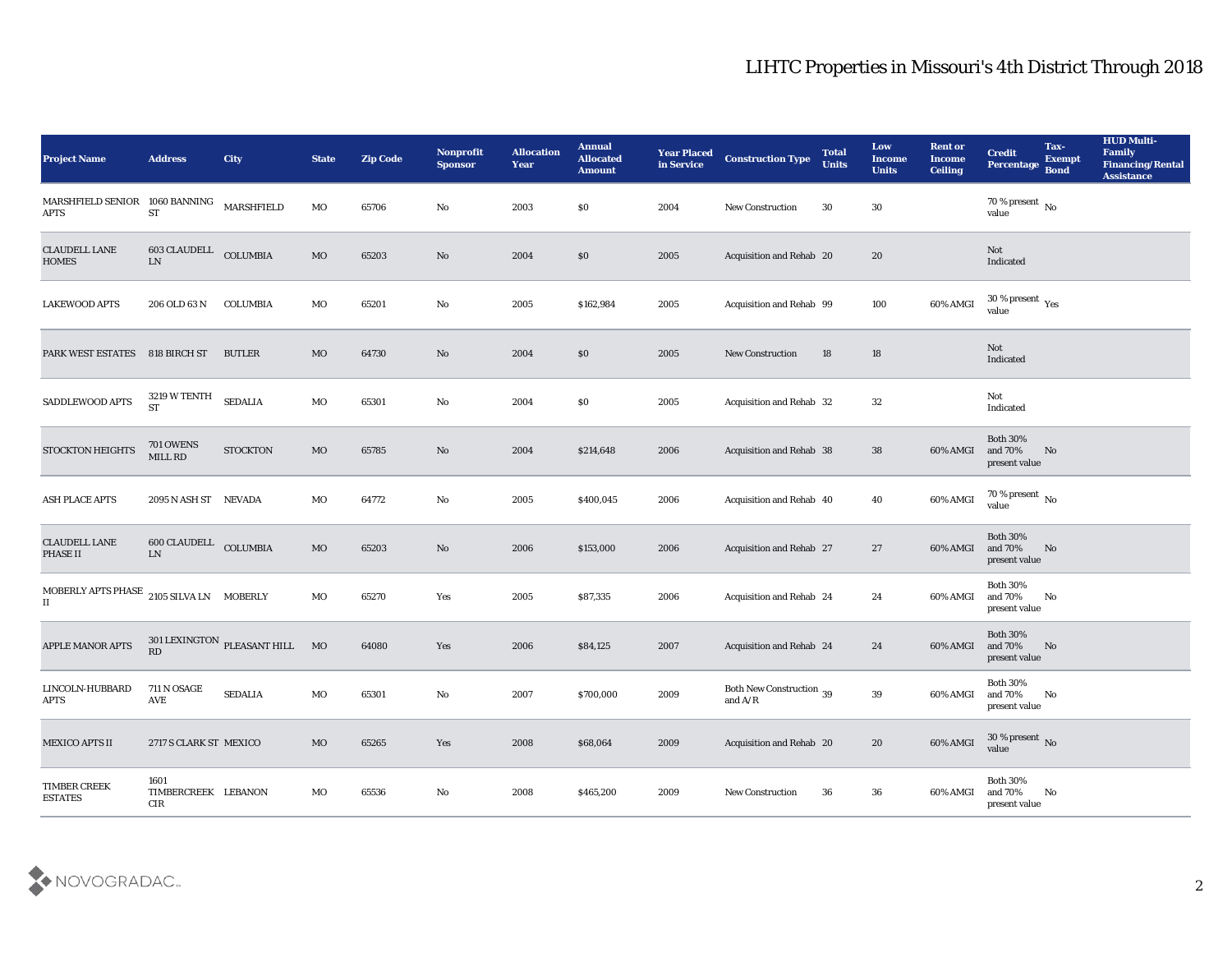| <b>Project Name</b>                                            | <b>Address</b>                       | <b>City</b>                    | <b>State</b> | <b>Zip Code</b> | Nonprofit<br><b>Sponsor</b> | <b>Allocation</b><br><b>Year</b> | <b>Annual</b><br><b>Allocated</b><br><b>Amount</b> | <b>Year Placed</b><br>in Service | <b>Construction Type</b>              | <b>Total</b><br><b>Units</b> | Low<br><b>Income</b><br><b>Units</b> | <b>Rent or</b><br><b>Income</b><br><b>Ceiling</b> | <b>Credit</b><br>Percentage                 | Tax-<br><b>Exempt</b><br><b>Bond</b> | <b>HUD Multi-</b><br>Family<br><b>Financing/Rental</b><br><b>Assistance</b> |
|----------------------------------------------------------------|--------------------------------------|--------------------------------|--------------|-----------------|-----------------------------|----------------------------------|----------------------------------------------------|----------------------------------|---------------------------------------|------------------------------|--------------------------------------|---------------------------------------------------|---------------------------------------------|--------------------------------------|-----------------------------------------------------------------------------|
| $\mbox{MARS}{}$ HFIELD SENIOR $\;$ 1060 BANNING<br><b>APTS</b> | <b>ST</b>                            | MARSHFIELD                     | MO           | 65706           | No                          | 2003                             | $\$0$                                              | 2004                             | <b>New Construction</b>               | 30                           | 30                                   |                                                   | 70 % present $\,$ No $\,$<br>value          |                                      |                                                                             |
| <b>CLAUDELL LANE</b><br><b>HOMES</b>                           | 603 CLAUDELL<br>LN                   | COLUMBIA                       | MO           | 65203           | No                          | 2004                             | \$0                                                | 2005                             | Acquisition and Rehab 20              |                              | 20                                   |                                                   | Not<br>Indicated                            |                                      |                                                                             |
| <b>LAKEWOOD APTS</b>                                           | 206 OLD 63 N                         | COLUMBIA                       | MO           | 65201           | No                          | 2005                             | \$162,984                                          | 2005                             | Acquisition and Rehab 99              |                              | 100                                  | 60% AMGI                                          | $30\,\%$ present $\,$ Yes value             |                                      |                                                                             |
| PARK WEST ESTATES                                              | 818 BIRCH ST                         | <b>BUTLER</b>                  | MO           | 64730           | No                          | 2004                             | \$0                                                | 2005                             | <b>New Construction</b>               | 18                           | 18                                   |                                                   | Not<br>Indicated                            |                                      |                                                                             |
| SADDLEWOOD APTS                                                | 3219 W TENTH<br><b>ST</b>            | <b>SEDALIA</b>                 | MO           | 65301           | No                          | 2004                             | \$0                                                | 2005                             | Acquisition and Rehab 32              |                              | 32                                   |                                                   | Not<br>Indicated                            |                                      |                                                                             |
| STOCKTON HEIGHTS                                               | <b>701 OWENS</b><br>$\text{MILL}$ RD | <b>STOCKTON</b>                | MO           | 65785           | No                          | 2004                             | \$214,648                                          | 2006                             | Acquisition and Rehab 38              |                              | 38                                   | 60% AMGI                                          | <b>Both 30%</b><br>and 70%<br>present value | No                                   |                                                                             |
| <b>ASH PLACE APTS</b>                                          | 2095 N ASH ST NEVADA                 |                                | MO           | 64772           | No                          | 2005                             | \$400,045                                          | 2006                             | Acquisition and Rehab 40              |                              | 40                                   | 60% AMGI                                          | 70 % present $\,$ No $\,$<br>value          |                                      |                                                                             |
| <b>CLAUDELL LANE</b><br>PHASE II                               | <b>600 CLAUDELL</b><br>LN            | <b>COLUMBIA</b>                | $_{\rm MO}$  | 65203           | No                          | 2006                             | \$153,000                                          | 2006                             | <b>Acquisition and Rehab 27</b>       |                              | 27                                   | 60% AMGI                                          | <b>Both 30%</b><br>and 70%<br>present value | No                                   |                                                                             |
| MOBERLY APTS PHASE<br>$\scriptstyle\rm II$                     | 2105 SILVA LN MOBERLY                |                                | MO           | 65270           | Yes                         | 2005                             | \$87,335                                           | 2006                             | Acquisition and Rehab 24              |                              | 24                                   | 60% AMGI                                          | <b>Both 30%</b><br>and 70%<br>present value | No                                   |                                                                             |
| <b>APPLE MANOR APTS</b>                                        | RD                                   | 301 LEXINGTON PLEASANT HILL MO |              | 64080           | Yes                         | 2006                             | \$84,125                                           | 2007                             | Acquisition and Rehab 24              |                              | 24                                   | 60% AMGI                                          | <b>Both 30%</b><br>and 70%<br>present value | No                                   |                                                                             |
| LINCOLN-HUBBARD<br><b>APTS</b>                                 | 711 N OSAGE<br>AVE                   | <b>SEDALIA</b>                 | MO           | 65301           | No                          | 2007                             | \$700,000                                          | 2009                             | Both New Construction 39<br>and $A/R$ |                              | 39                                   | 60% AMGI and 70%                                  | <b>Both 30%</b><br>present value            | No                                   |                                                                             |
| <b>MEXICO APTS II</b>                                          | 2717 S CLARK ST MEXICO               |                                | $_{\rm MO}$  | 65265           | Yes                         | 2008                             | \$68,064                                           | 2009                             | Acquisition and Rehab 20              |                              | $20\,$                               | 60% AMGI                                          | $30\,\%$ present $\,$ No value              |                                      |                                                                             |
| $\tt{TIMEER}$ $\tt{CREEK}$<br><b>ESTATES</b>                   | 1601<br>TIMBERCREEK LEBANON<br>CIR   |                                | $\rm MO$     | 65536           | ${\bf No}$                  | 2008                             | \$465,200                                          | 2009                             | New Construction                      | 36                           | ${\bf 36}$                           | 60% AMGI                                          | <b>Both 30%</b><br>and 70%<br>present value | $\mathbf{N}\mathbf{o}$               |                                                                             |

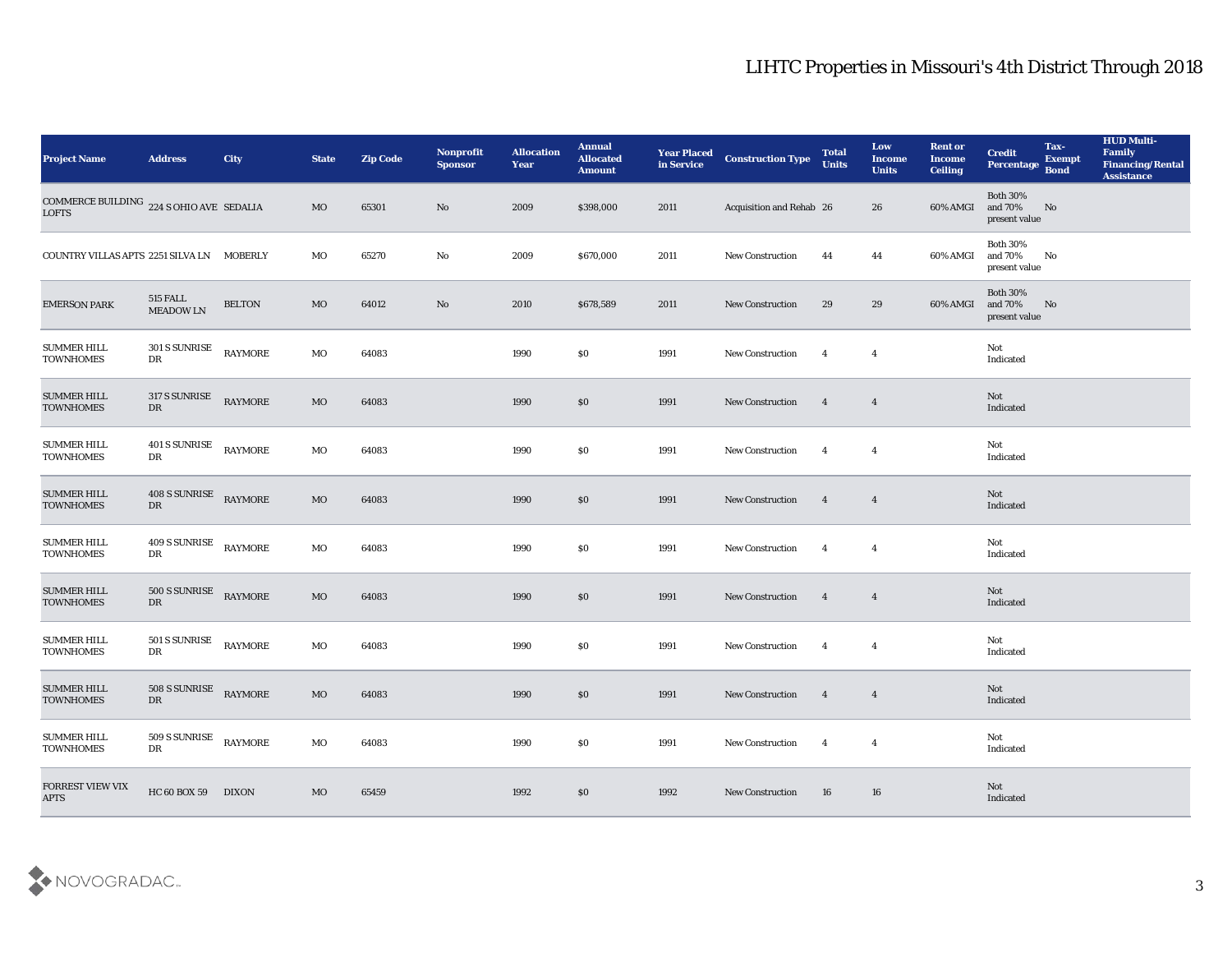| <b>Project Name</b>                                      | <b>Address</b>               | City           | <b>State</b> | <b>Zip Code</b> | Nonprofit<br><b>Sponsor</b> | <b>Allocation</b><br><b>Year</b> | <b>Annual</b><br><b>Allocated</b><br><b>Amount</b> | <b>Year Placed</b><br>in Service | <b>Construction Type</b> | <b>Total</b><br><b>Units</b> | Low<br><b>Income</b><br><b>Units</b> | <b>Rent or</b><br><b>Income</b><br><b>Ceiling</b> | <b>Credit</b><br>Percentage Bond            | Tax-<br><b>Exempt</b> | <b>HUD Multi-</b><br>Family<br><b>Financing/Rental</b><br><b>Assistance</b> |
|----------------------------------------------------------|------------------------------|----------------|--------------|-----------------|-----------------------------|----------------------------------|----------------------------------------------------|----------------------------------|--------------------------|------------------------------|--------------------------------------|---------------------------------------------------|---------------------------------------------|-----------------------|-----------------------------------------------------------------------------|
| COMMERCE BUILDING 224 S OHIO AVE SEDALIA<br><b>LOFTS</b> |                              |                | MO           | 65301           | No                          | 2009                             | \$398,000                                          | 2011                             | Acquisition and Rehab 26 |                              | 26                                   | 60% AMGI                                          | <b>Both 30%</b><br>and 70%<br>present value | No                    |                                                                             |
| COUNTRY VILLAS APTS 2251 SILVA LN MOBERLY                |                              |                | МO           | 65270           | No                          | 2009                             | \$670,000                                          | 2011                             | <b>New Construction</b>  | 44                           | 44                                   | 60% AMGI                                          | <b>Both 30%</b><br>and 70%<br>present value | No                    |                                                                             |
| <b>EMERSON PARK</b>                                      | 515 FALL<br><b>MEADOW LN</b> | <b>BELTON</b>  | MO           | 64012           | No                          | 2010                             | \$678,589                                          | 2011                             | New Construction         | 29                           | 29                                   | 60% AMGI                                          | <b>Both 30%</b><br>and 70%<br>present value | No                    |                                                                             |
| <b>SUMMER HILL</b><br><b>TOWNHOMES</b>                   | 301 S SUNRISE<br>DR          | <b>RAYMORE</b> | MO           | 64083           |                             | 1990                             | \$0                                                | 1991                             | New Construction         | $\overline{4}$               | $\overline{4}$                       |                                                   | Not<br>Indicated                            |                       |                                                                             |
| <b>SUMMER HILL</b><br><b>TOWNHOMES</b>                   | 317 S SUNRISE<br>DR          | <b>RAYMORE</b> | MO           | 64083           |                             | 1990                             | \$0                                                | 1991                             | <b>New Construction</b>  | $\overline{4}$               | $\overline{4}$                       |                                                   | Not<br>Indicated                            |                       |                                                                             |
| <b>SUMMER HILL</b><br><b>TOWNHOMES</b>                   | 401 S SUNRISE<br>DR          | <b>RAYMORE</b> | MO           | 64083           |                             | 1990                             | \$0                                                | 1991                             | <b>New Construction</b>  | $\overline{4}$               | $\overline{\mathbf{4}}$              |                                                   | Not<br>Indicated                            |                       |                                                                             |
| <b>SUMMER HILL</b><br><b>TOWNHOMES</b>                   | 408 S SUNRISE<br>DR          | <b>RAYMORE</b> | MO           | 64083           |                             | 1990                             | \$0                                                | 1991                             | <b>New Construction</b>  | $\overline{4}$               | $\overline{4}$                       |                                                   | Not<br>Indicated                            |                       |                                                                             |
| <b>SUMMER HILL</b><br><b>TOWNHOMES</b>                   | 409 S SUNRISE<br>DR          | <b>RAYMORE</b> | MO           | 64083           |                             | 1990                             | \$0                                                | 1991                             | New Construction         | $\overline{4}$               | $\overline{4}$                       |                                                   | Not<br>Indicated                            |                       |                                                                             |
| <b>SUMMER HILL</b><br><b>TOWNHOMES</b>                   | 500 S SUNRISE<br>DR          | <b>RAYMORE</b> | MO           | 64083           |                             | 1990                             | \$0                                                | 1991                             | <b>New Construction</b>  | $\overline{4}$               | $\overline{4}$                       |                                                   | Not<br>Indicated                            |                       |                                                                             |
| <b>SUMMER HILL</b><br><b>TOWNHOMES</b>                   | 501 S SUNRISE<br>DR          | <b>RAYMORE</b> | MO           | 64083           |                             | 1990                             | \$0                                                | 1991                             | <b>New Construction</b>  | $\overline{4}$               | $\overline{\mathbf{4}}$              |                                                   | Not<br>Indicated                            |                       |                                                                             |
| <b>SUMMER HILL</b><br><b>TOWNHOMES</b>                   | <b>508 S SUNRISE</b><br>DR   | <b>RAYMORE</b> | MO           | 64083           |                             | 1990                             | \$0                                                | 1991                             | <b>New Construction</b>  | $\overline{4}$               | $\overline{4}$                       |                                                   | Not<br>Indicated                            |                       |                                                                             |
| <b>SUMMER HILL</b><br><b>TOWNHOMES</b>                   | 509 S SUNRISE<br>DR          | <b>RAYMORE</b> | MO           | 64083           |                             | 1990                             | $\$0$                                              | 1991                             | <b>New Construction</b>  | $\overline{4}$               | $\overline{\mathbf{4}}$              |                                                   | Not<br>Indicated                            |                       |                                                                             |
| <b>FORREST VIEW VIX</b><br><b>APTS</b>                   | HC 60 BOX 59 DIXON           |                | MO           | 65459           |                             | 1992                             | \$0                                                | 1992                             | <b>New Construction</b>  | 16                           | 16                                   |                                                   | Not<br>Indicated                            |                       |                                                                             |

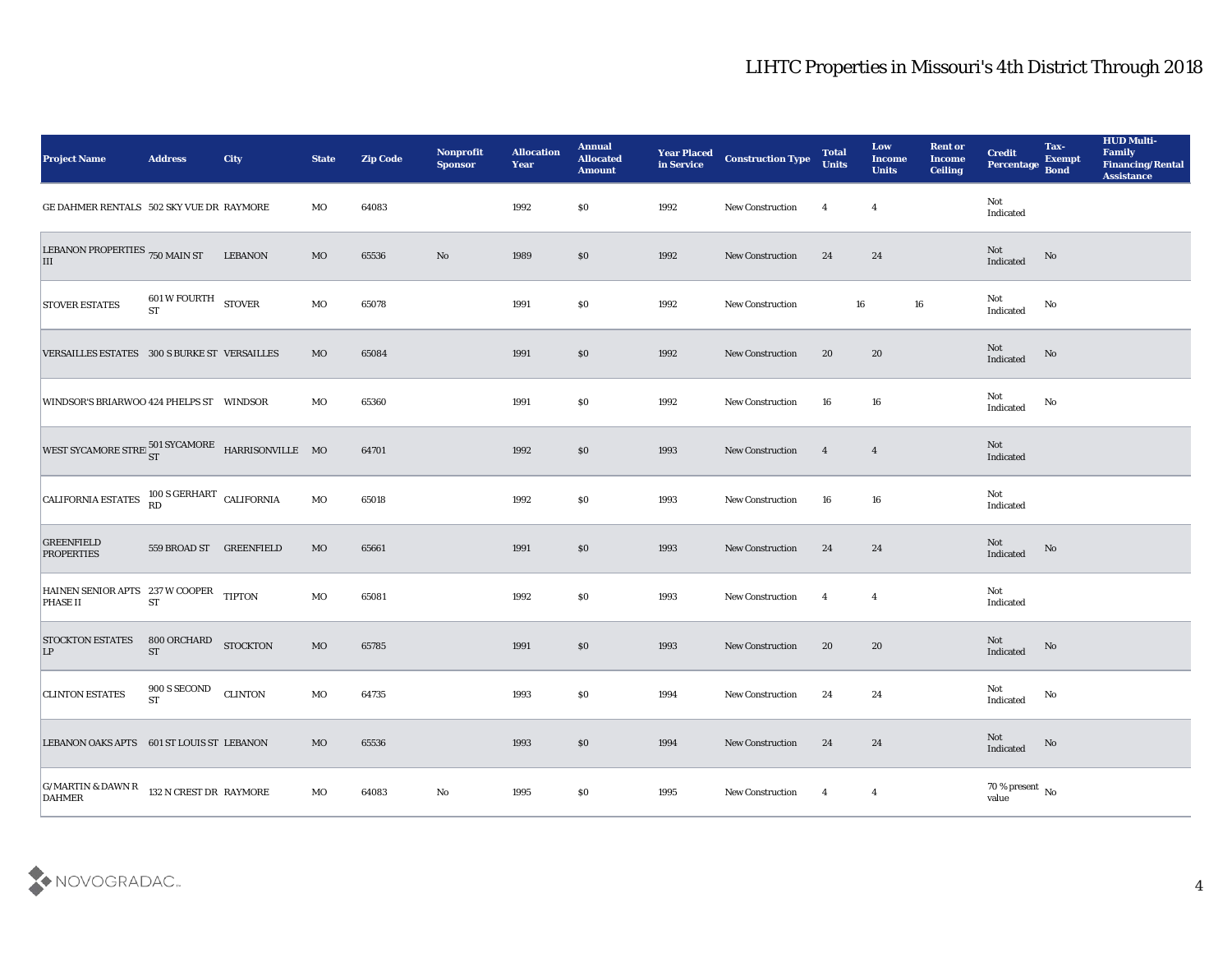| <b>Project Name</b>                                           | <b>Address</b>                                              | <b>City</b>     | <b>State</b> | <b>Zip Code</b> | Nonprofit<br><b>Sponsor</b> | <b>Allocation</b><br><b>Year</b> | <b>Annual</b><br><b>Allocated</b><br><b>Amount</b> | <b>Year Placed</b><br>in Service | <b>Construction Type</b> | <b>Total</b><br><b>Units</b> | Low<br><b>Income</b><br><b>Units</b> | <b>Rent or</b><br><b>Income</b><br><b>Ceiling</b> | <b>Credit</b><br>Percentage    | Tax-<br><b>Exempt</b><br><b>Bond</b> | <b>HUD Multi-</b><br>Family<br><b>Financing/Rental</b><br><b>Assistance</b> |
|---------------------------------------------------------------|-------------------------------------------------------------|-----------------|--------------|-----------------|-----------------------------|----------------------------------|----------------------------------------------------|----------------------------------|--------------------------|------------------------------|--------------------------------------|---------------------------------------------------|--------------------------------|--------------------------------------|-----------------------------------------------------------------------------|
| GE DAHMER RENTALS 502 SKY VUE DR RAYMORE                      |                                                             |                 | MO           | 64083           |                             | 1992                             | $\$0$                                              | 1992                             | <b>New Construction</b>  | $\overline{4}$               | $\overline{4}$                       |                                                   | Not<br>Indicated               |                                      |                                                                             |
| LEBANON PROPERTIES 750 MAIN ST<br>III                         |                                                             | <b>LEBANON</b>  | MO           | 65536           | No                          | 1989                             | $\$0$                                              | 1992                             | <b>New Construction</b>  | 24                           | 24                                   |                                                   | Not<br>Indicated               | No                                   |                                                                             |
| <b>STOVER ESTATES</b>                                         | $601\,\mathrm{W}\,\mathrm{FOURTH}\quad$ STOVER<br><b>ST</b> |                 | MO           | 65078           |                             | 1991                             | \$0\$                                              | 1992                             | New Construction         | 16                           |                                      | 16                                                | Not<br>Indicated               | No                                   |                                                                             |
| VERSAILLES ESTATES 300 S BURKE ST VERSAILLES                  |                                                             |                 | MO           | 65084           |                             | 1991                             | $\$0$                                              | 1992                             | <b>New Construction</b>  | 20                           | 20                                   |                                                   | Not<br>Indicated               | No                                   |                                                                             |
| WINDSOR'S BRIARWOO 424 PHELPS ST WINDSOR                      |                                                             |                 | MO           | 65360           |                             | 1991                             | \$0\$                                              | 1992                             | <b>New Construction</b>  | 16                           | 16                                   |                                                   | Not<br>Indicated               | No                                   |                                                                             |
| WEST SYCAMORE STREE $_{ST}^{501}$ SYCAMORE HARRISONVILLE MO   |                                                             |                 |              | 64701           |                             | 1992                             | $\$0$                                              | 1993                             | <b>New Construction</b>  | $\overline{\mathbf{4}}$      | $\overline{4}$                       |                                                   | Not<br>Indicated               |                                      |                                                                             |
| CALIFORNIA ESTATES 100 S GERHART CALIFORNIA                   |                                                             |                 | MO           | 65018           |                             | 1992                             | $\$0$                                              | 1993                             | <b>New Construction</b>  | 16                           | 16                                   |                                                   | Not<br>Indicated               |                                      |                                                                             |
| <b>GREENFIELD</b><br><b>PROPERTIES</b>                        | 559 BROAD ST                                                | GREENFIELD      | MO           | 65661           |                             | 1991                             | \$0\$                                              | 1993                             | <b>New Construction</b>  | 24                           | 24                                   |                                                   | Not<br>Indicated               | No                                   |                                                                             |
| HAINEN SENIOR APTS 237 W COOPER<br><b>PHASE II</b>            | <b>ST</b>                                                   | <b>TIPTON</b>   | MO           | 65081           |                             | 1992                             | \$0\$                                              | 1993                             | <b>New Construction</b>  | $\overline{4}$               | $\overline{\mathbf{4}}$              |                                                   | Not<br>Indicated               |                                      |                                                                             |
| <b>STOCKTON ESTATES</b><br> LP                                | 800 ORCHARD<br>${\cal S}{\cal T}$                           | <b>STOCKTON</b> | MO           | 65785           |                             | 1991                             | $\$0$                                              | 1993                             | <b>New Construction</b>  | 20                           | 20                                   |                                                   | Not<br>Indicated               | No                                   |                                                                             |
| <b>CLINTON ESTATES</b>                                        | 900 S SECOND<br>$\operatorname{ST}$                         | <b>CLINTON</b>  | MO           | 64735           |                             | 1993                             | \$0\$                                              | 1994                             | <b>New Construction</b>  | 24                           | 24                                   |                                                   | Not<br>Indicated               | No                                   |                                                                             |
| LEBANON OAKS APTS 601 ST LOUIS ST LEBANON                     |                                                             |                 | MO           | 65536           |                             | 1993                             | $\$0$                                              | 1994                             | New Construction         | 24                           | 24                                   |                                                   | Not<br>Indicated               | $\rm\thinspace No$                   |                                                                             |
| $ $ G/MARTIN & DAWN R 132 N CREST DR RAYMORE<br><b>DAHMER</b> |                                                             |                 | $_{\rm MO}$  | 64083           | $\mathbf {No}$              | 1995                             | \$0                                                | 1995                             | New Construction         | $\overline{4}$               | $\overline{4}$                       |                                                   | $70\,\%$ present $\,$ No value |                                      |                                                                             |

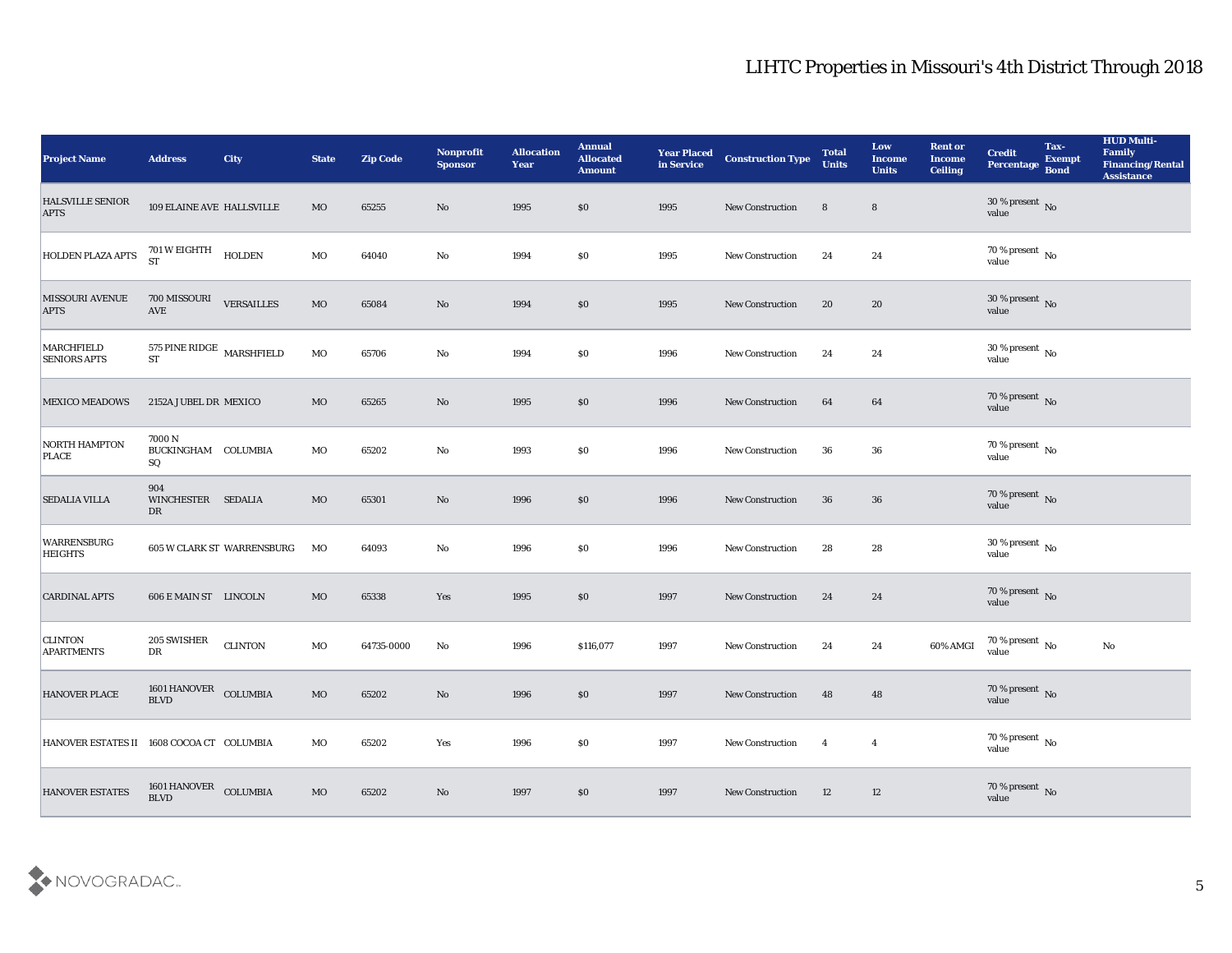| <b>Project Name</b>                       | <b>Address</b>                              | City                       | <b>State</b> | <b>Zip Code</b> | Nonprofit<br><b>Sponsor</b> | <b>Allocation</b><br><b>Year</b> | <b>Annual</b><br><b>Allocated</b><br><b>Amount</b> | <b>Year Placed</b><br>in Service | <b>Construction Type</b> | <b>Total</b><br><b>Units</b> | Low<br>Income<br><b>Units</b> | <b>Rent or</b><br><b>Income</b><br><b>Ceiling</b> | <b>Credit</b><br>Percentage                 | Tax-<br><b>Exempt</b><br><b>Bond</b> | <b>HUD Multi-</b><br>Family<br><b>Financing/Rental</b><br><b>Assistance</b> |
|-------------------------------------------|---------------------------------------------|----------------------------|--------------|-----------------|-----------------------------|----------------------------------|----------------------------------------------------|----------------------------------|--------------------------|------------------------------|-------------------------------|---------------------------------------------------|---------------------------------------------|--------------------------------------|-----------------------------------------------------------------------------|
| <b>HALSVILLE SENIOR</b><br><b>APTS</b>    | 109 ELAINE AVE HALLSVILLE                   |                            | $_{\rm MO}$  | 65255           | No                          | 1995                             | \$0                                                | 1995                             | New Construction         | 8                            | $8\phantom{1}$                |                                                   | $30\,\%$ present $\,$ No value              |                                      |                                                                             |
| <b>HOLDEN PLAZA APTS</b>                  | 701 W EIGHTH<br>ST                          | <b>HOLDEN</b>              | $_{\rm MO}$  | 64040           | No                          | 1994                             | \$0                                                | 1995                             | New Construction         | 24                           | 24                            |                                                   | 70 % present No<br>value                    |                                      |                                                                             |
| <b>MISSOURI AVENUE</b><br><b>APTS</b>     | 700 MISSOURI VERSAILLES<br><b>AVE</b>       |                            | $_{\rm MO}$  | 65084           | $\rm\thinspace No$          | 1994                             | \$0                                                | 1995                             | New Construction         | 20                           | 20                            |                                                   | $30\,\%$ present $\,$ No value              |                                      |                                                                             |
| MARCHFIELD<br><b>SENIORS APTS</b>         | 575 PINE RIDGE $\,$ MARSHFIELD<br><b>ST</b> |                            | $_{\rm MO}$  | 65706           | $\mathbf{No}$               | 1994                             | \$0                                                | 1996                             | New Construction         | 24                           | 24                            |                                                   | $30\,\%$ present $\,$ No value              |                                      |                                                                             |
| <b>MEXICO MEADOWS</b>                     | 2152A JUBEL DR MEXICO                       |                            | MO           | 65265           | No                          | 1995                             | \$0                                                | 1996                             | <b>New Construction</b>  | 64                           | 64                            |                                                   | $70$ % present $_{\rm{No}}$ $_{\rm{value}}$ |                                      |                                                                             |
| <b>NORTH HAMPTON</b><br><b>PLACE</b>      | 7000 N<br>BUCKINGHAM COLUMBIA<br>SQ         |                            | MO           | 65202           | No                          | 1993                             | \$0                                                | 1996                             | <b>New Construction</b>  | 36                           | 36                            |                                                   | $70\,\%$ present $\,$ No value              |                                      |                                                                             |
| <b>SEDALIA VILLA</b>                      | 904<br>WINCHESTER SEDALIA<br>DR             |                            | $_{\rm MO}$  | 65301           | No                          | 1996                             | \$0                                                | 1996                             | <b>New Construction</b>  | 36                           | ${\bf 36}$                    |                                                   | $70\,\%$ present $\,$ No value              |                                      |                                                                             |
| <b>WARRENSBURG</b><br><b>HEIGHTS</b>      |                                             | 605 W CLARK ST WARRENSBURG | MO           | 64093           | $\rm\thinspace No$          | 1996                             | \$0                                                | 1996                             | <b>New Construction</b>  | 28                           | 28                            |                                                   | $30\,\%$ present $\,$ No value              |                                      |                                                                             |
| <b>CARDINAL APTS</b>                      | 606 E MAIN ST LINCOLN                       |                            | MO           | 65338           | Yes                         | 1995                             | \$0                                                | 1997                             | <b>New Construction</b>  | 24                           | 24                            |                                                   | $70\,\%$ present $\,$ No value              |                                      |                                                                             |
| <b>CLINTON</b><br><b>APARTMENTS</b>       | 205 SWISHER<br>${\rm D}{\rm R}$             | <b>CLINTON</b>             | MO           | 64735-0000      | $\mathbf{N}\mathbf{o}$      | 1996                             | \$116,077                                          | 1997                             | <b>New Construction</b>  | 24                           | 24                            | 60% AMGI                                          | $70\,\%$ present $\,$ No value              |                                      | No                                                                          |
| <b>HANOVER PLACE</b>                      | 1601 HANOVER COLUMBIA<br><b>BLVD</b>        |                            | MO           | 65202           | No                          | 1996                             | \$0                                                | 1997                             | <b>New Construction</b>  | 48                           | 48                            |                                                   | 70 % present No<br>value                    |                                      |                                                                             |
| HANOVER ESTATES II 1608 COCOA CT COLUMBIA |                                             |                            | $\rm MO$     | 65202           | Yes                         | 1996                             | $\$0$                                              | 1997                             | New Construction         | $\overline{4}$               | $\overline{4}$                |                                                   | $70\,\%$ present $\,$ No value              |                                      |                                                                             |
| <b>HANOVER ESTATES</b>                    | $1601$ HANOVER $\quad$ COLUMBIA BLVD        |                            | $_{\rm MO}$  | 65202           | $\rm\thinspace No$          | 1997                             | \$0                                                | 1997                             | New Construction         | 12                           | 12                            |                                                   | $70\,\%$ present $\,$ No value              |                                      |                                                                             |

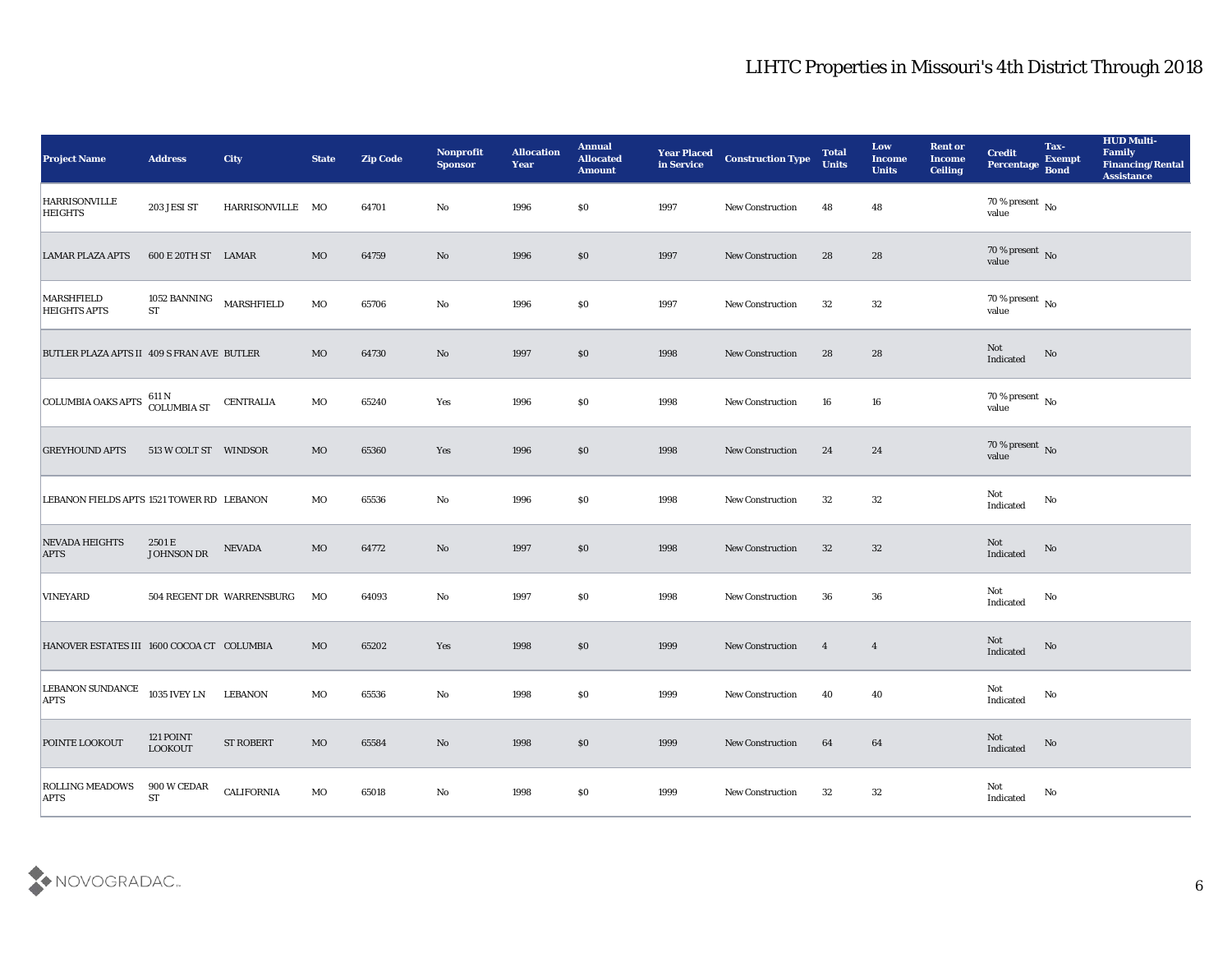| <b>Project Name</b>                        | <b>Address</b>                       | <b>City</b>               | <b>State</b> | <b>Zip Code</b> | Nonprofit<br><b>Sponsor</b> | <b>Allocation</b><br><b>Year</b> | <b>Annual</b><br><b>Allocated</b><br><b>Amount</b> | <b>Year Placed</b><br>in Service | <b>Construction Type</b> | <b>Total</b><br><b>Units</b> | Low<br><b>Income</b><br><b>Units</b> | <b>Rent or</b><br><b>Income</b><br><b>Ceiling</b> | <b>Credit</b><br>Percentage        | Tax-<br><b>Exempt</b><br><b>Bond</b> | <b>HUD Multi-</b><br>Family<br><b>Financing/Rental</b><br><b>Assistance</b> |
|--------------------------------------------|--------------------------------------|---------------------------|--------------|-----------------|-----------------------------|----------------------------------|----------------------------------------------------|----------------------------------|--------------------------|------------------------------|--------------------------------------|---------------------------------------------------|------------------------------------|--------------------------------------|-----------------------------------------------------------------------------|
| <b>HARRISONVILLE</b><br><b>HEIGHTS</b>     | 203 JESI ST                          | HARRISONVILLE MO          |              | 64701           | No                          | 1996                             | $\$0$                                              | 1997                             | <b>New Construction</b>  | 48                           | 48                                   |                                                   | 70 % present $\,$ No $\,$<br>value |                                      |                                                                             |
| <b>LAMAR PLAZA APTS</b>                    | 600 E 20TH ST LAMAR                  |                           | MO           | 64759           | No                          | 1996                             | $\$0$                                              | 1997                             | <b>New Construction</b>  | 28                           | 28                                   |                                                   | $70\,\%$ present $\,$ No value     |                                      |                                                                             |
| <b>MARSHFIELD</b><br><b>HEIGHTS APTS</b>   | 1052 BANNING MARSHFIELD<br><b>ST</b> |                           | MO           | 65706           | No                          | 1996                             | \$0                                                | 1997                             | <b>New Construction</b>  | 32                           | 32                                   |                                                   | $70\,\%$ present $\,$ No value     |                                      |                                                                             |
| BUTLER PLAZA APTS II 409 S FRAN AVE BUTLER |                                      |                           | MO           | 64730           | No                          | 1997                             | \$0                                                | 1998                             | <b>New Construction</b>  | 28                           | 28                                   |                                                   | Not<br>Indicated                   | No                                   |                                                                             |
| <b>COLUMBIA OAKS APTS</b>                  | 611 N<br>COLUMBIA ST                 | <b>CENTRALIA</b>          | MO           | 65240           | Yes                         | 1996                             | $\$0$                                              | 1998                             | <b>New Construction</b>  | 16                           | 16                                   |                                                   | 70 % present No<br>value           |                                      |                                                                             |
| <b>GREYHOUND APTS</b>                      | 513 W COLT ST WINDSOR                |                           | MO           | 65360           | Yes                         | 1996                             | $\$0$                                              | 1998                             | <b>New Construction</b>  | 24                           | 24                                   |                                                   | $70\,\%$ present $\,$ No value     |                                      |                                                                             |
| LEBANON FIELDS APTS 1521 TOWER RD LEBANON  |                                      |                           | МO           | 65536           | No                          | 1996                             | $\$0$                                              | 1998                             | <b>New Construction</b>  | 32                           | 32                                   |                                                   | Not<br>Indicated                   | No                                   |                                                                             |
| <b>NEVADA HEIGHTS</b><br><b>APTS</b>       | 2501 E<br>JOHNSON DR                 | <b>NEVADA</b>             | $_{\rm MO}$  | 64772           | No                          | 1997                             | \$0                                                | 1998                             | <b>New Construction</b>  | 32                           | 32                                   |                                                   | Not<br>Indicated                   | No                                   |                                                                             |
| <b>VINEYARD</b>                            |                                      | 504 REGENT DR WARRENSBURG | MO           | 64093           | No                          | 1997                             | \$0                                                | 1998                             | <b>New Construction</b>  | 36                           | 36                                   |                                                   | Not<br>Indicated                   | No                                   |                                                                             |
| HANOVER ESTATES III 1600 COCOA CT COLUMBIA |                                      |                           | MO           | 65202           | Yes                         | 1998                             | $\$0$                                              | 1999                             | <b>New Construction</b>  | $\overline{\mathbf{4}}$      | $\overline{4}$                       |                                                   | Not<br>Indicated                   | No                                   |                                                                             |
| <b>LEBANON SUNDANCE</b><br><b>APTS</b>     | 1035 IVEY LN                         | <b>LEBANON</b>            | MO           | 65536           | No                          | 1998                             | \$0                                                | 1999                             | <b>New Construction</b>  | 40                           | 40                                   |                                                   | Not<br>Indicated                   | No                                   |                                                                             |
| POINTE LOOKOUT                             | $121\,\mathrm{POINT}$<br>LOOKOUT     | <b>ST ROBERT</b>          | $_{\rm MO}$  | 65584           | $\mathbf {No}$              | 1998                             | $\boldsymbol{\mathsf{S}}\boldsymbol{\mathsf{O}}$   | 1999                             | New Construction         | 64                           | $64\,$                               |                                                   | Not<br>Indicated                   | $\rm\thinspace No$                   |                                                                             |
| <b>ROLLING MEADOWS</b><br><b>APTS</b>      | 900 W CEDAR<br>${\cal S}{\cal T}$    | CALIFORNIA                | MO           | 65018           | $\mathbf {No}$              | 1998                             | $\$0$                                              | 1999                             | New Construction         | 32                           | $32\,$                               |                                                   | Not<br>Indicated                   | $\mathbf {No}$                       |                                                                             |

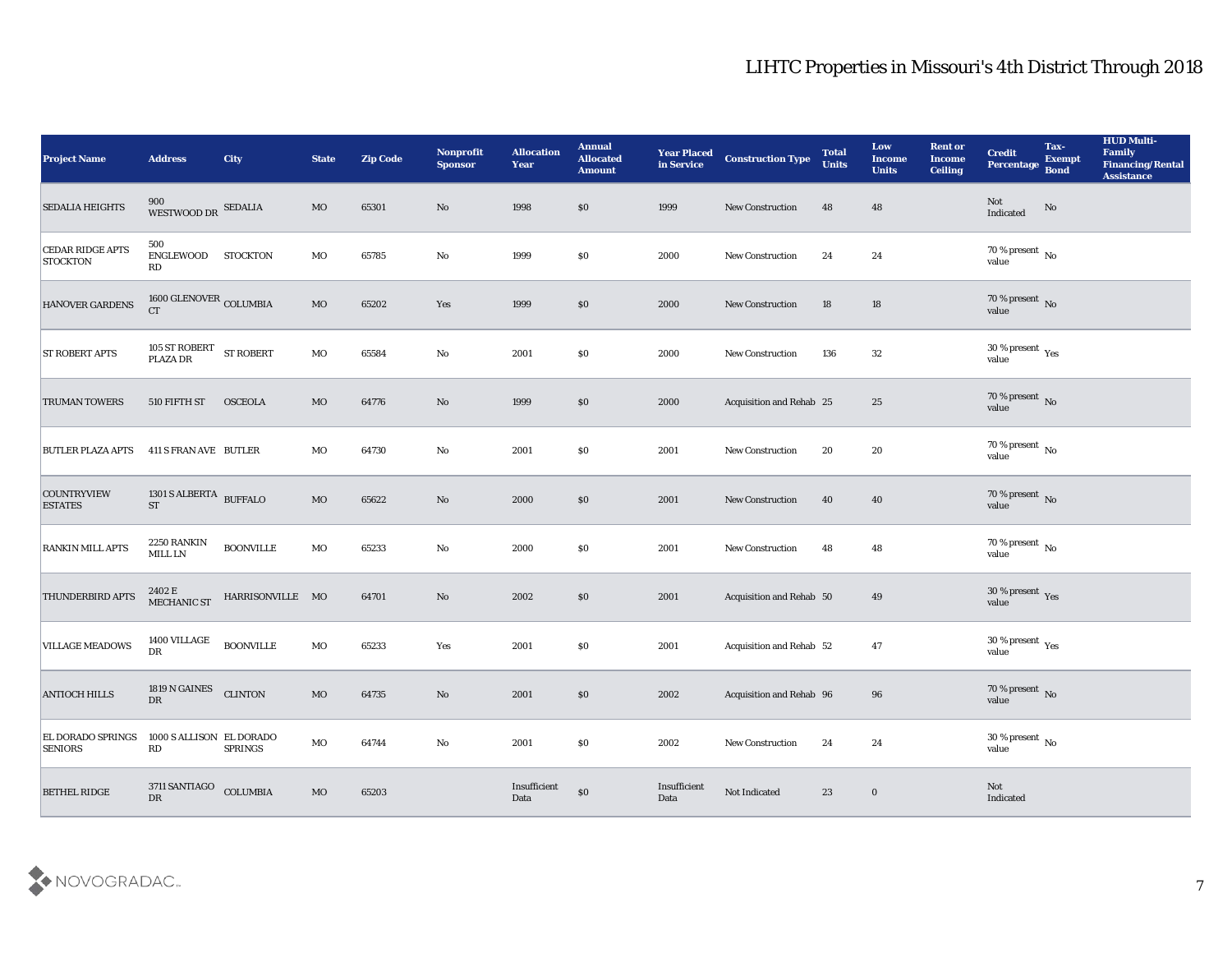| <b>Project Name</b>                        | <b>Address</b>                                 | City             | <b>State</b> | <b>Zip Code</b> | Nonprofit<br><b>Sponsor</b> | <b>Allocation</b><br><b>Year</b> | <b>Annual</b><br><b>Allocated</b><br><b>Amount</b> | <b>Year Placed</b><br>in Service | <b>Construction Type</b> | <b>Total</b><br><b>Units</b> | Low<br><b>Income</b><br><b>Units</b> | <b>Rent or</b><br><b>Income</b><br><b>Ceiling</b> | <b>Credit</b><br>Percentage        | Tax-<br><b>Exempt</b><br><b>Bond</b> | <b>HUD Multi-</b><br>Family<br><b>Financing/Rental</b><br><b>Assistance</b> |
|--------------------------------------------|------------------------------------------------|------------------|--------------|-----------------|-----------------------------|----------------------------------|----------------------------------------------------|----------------------------------|--------------------------|------------------------------|--------------------------------------|---------------------------------------------------|------------------------------------|--------------------------------------|-----------------------------------------------------------------------------|
| SEDALIA HEIGHTS                            | $900\atop \text{WESTWOOD DR}$ SEDALIA          |                  | $_{\rm MO}$  | 65301           | No                          | 1998                             | \$0                                                | 1999                             | <b>New Construction</b>  | 48                           | 48                                   |                                                   | Not<br>Indicated                   | $\mathbf{N}\mathbf{o}$               |                                                                             |
| <b>CEDAR RIDGE APTS</b><br><b>STOCKTON</b> | 500<br>ENGLEWOOD STOCKTON<br>RD                |                  | MO           | 65785           | No                          | 1999                             | \$0                                                | 2000                             | New Construction         | 24                           | 24                                   |                                                   | $70\,\%$ present $\,$ No value     |                                      |                                                                             |
| HANOVER GARDENS                            | $1600$ GLENOVER $_{\rm COLUMBIA}$<br><b>CT</b> |                  | $_{\rm MO}$  | 65202           | Yes                         | 1999                             | \$0                                                | 2000                             | New Construction         | 18                           | 18                                   |                                                   | $70\,\%$ present $\,$ No value     |                                      |                                                                             |
| <b>ST ROBERT APTS</b>                      | $105$ ST ROBERT $$\rm{ST}\,\,ROBERT$$ PLAZA DR |                  | $_{\rm MO}$  | 65584           | $\mathbf{N}\mathbf{o}$      | 2001                             | \$0                                                | 2000                             | New Construction         | 136                          | 32                                   |                                                   | $30\,\%$ present $\,$ Yes value    |                                      |                                                                             |
| <b>TRUMAN TOWERS</b>                       | 510 FIFTH ST                                   | <b>OSCEOLA</b>   | MO           | 64776           | No                          | 1999                             | \$0\$                                              | 2000                             | Acquisition and Rehab 25 |                              | 25                                   |                                                   | $70\,\%$ present $\,$ No value     |                                      |                                                                             |
| BUTLER PLAZA APTS                          | 411 S FRAN AVE BUTLER                          |                  | MO           | 64730           | No                          | 2001                             | \$0                                                | 2001                             | <b>New Construction</b>  | 20                           | 20                                   |                                                   | $70$ % present $_{\rm{No}}$        |                                      |                                                                             |
| <b>COUNTRYVIEW</b><br><b>ESTATES</b>       | 1301 S ALBERTA $$\tt BUFFALO$$                 |                  | $_{\rm MO}$  | 65622           | No                          | 2000                             | \$0                                                | 2001                             | New Construction         | 40                           | 40                                   |                                                   | $70\,\%$ present $\,$ No value     |                                      |                                                                             |
| <b>RANKIN MILL APTS</b>                    | 2250 RANKIN<br>MILL LN                         | <b>BOONVILLE</b> | $_{\rm MO}$  | 65233           | $\mathbf{N}\mathbf{o}$      | 2000                             | \$0                                                | 2001                             | New Construction         | 48                           | 48                                   |                                                   | 70 % present $\,$ No $\,$<br>value |                                      |                                                                             |
| THUNDERBIRD APTS                           | $2402\to$ MECHANIC ST                          | HARRISONVILLE MO |              | 64701           | No                          | 2002                             | \$0                                                | 2001                             | Acquisition and Rehab 50 |                              | 49                                   |                                                   | $30\,\%$ present $\,$ Yes value    |                                      |                                                                             |
| <b>VILLAGE MEADOWS</b>                     | 1400 VILLAGE<br>DR                             | <b>BOONVILLE</b> | MO           | 65233           | Yes                         | 2001                             | \$0                                                | 2001                             | Acquisition and Rehab 52 |                              | 47                                   |                                                   | $30\,\%$ present $\,$ Yes value    |                                      |                                                                             |
| <b>ANTIOCH HILLS</b>                       | 1819 N GAINES<br>DR                            | <b>CLINTON</b>   | $_{\rm MO}$  | 64735           | No                          | 2001                             | $\$0$                                              | 2002                             | Acquisition and Rehab 96 |                              | 96                                   |                                                   | $70\,\%$ present $\,$ No value     |                                      |                                                                             |
| <b>EL DORADO SPRINGS</b><br><b>SENIORS</b> | 1000 S ALLISON EL DORADO<br>RD                 | <b>SPRINGS</b>   | $\rm MO$     | 64744           | $\mathbf {No}$              | 2001                             | $\$0$                                              | 2002                             | New Construction         | 24                           | 24                                   |                                                   | 30 % present $\,$ No $\,$<br>value |                                      |                                                                             |
| <b>BETHEL RIDGE</b>                        | 3711 SANTIAGO<br>$\mathbf{D}\mathbf{R}$        | COLUMBIA         | $_{\rm MO}$  | 65203           |                             | Insufficient<br>Data             | $\$0$                                              | Insufficient<br>Data             | Not Indicated            | 23                           | $\bf{0}$                             |                                                   | Not<br>Indicated                   |                                      |                                                                             |

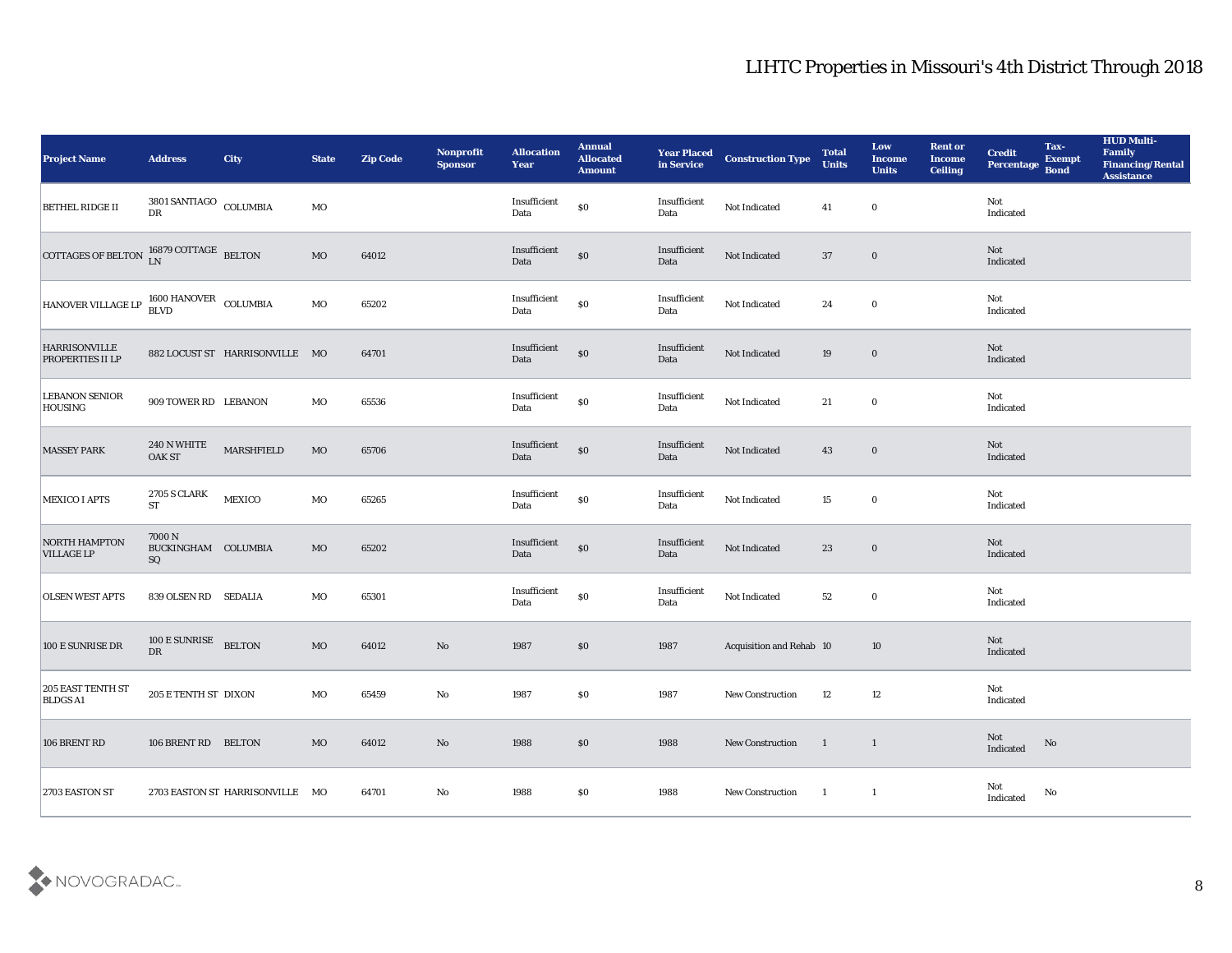| <b>Project Name</b>                                       | <b>Address</b>                              | <b>City</b>                     | <b>State</b> | <b>Zip Code</b> | Nonprofit<br><b>Sponsor</b> | <b>Allocation</b><br><b>Year</b>            | <b>Annual</b><br>Allocated<br><b>Amount</b>      | <b>Year Placed<br/>in Service</b> | <b>Construction Type</b> | <b>Total</b><br><b>Units</b> | Low<br><b>Income</b><br><b>Units</b> | <b>Rent or</b><br><b>Income</b><br><b>Ceiling</b> | <b>Credit</b><br>Percentage | Tax-<br><b>Exempt</b><br><b>Bond</b> | <b>HUD Multi-</b><br>Family<br><b>Financing/Rental</b><br><b>Assistance</b> |
|-----------------------------------------------------------|---------------------------------------------|---------------------------------|--------------|-----------------|-----------------------------|---------------------------------------------|--------------------------------------------------|-----------------------------------|--------------------------|------------------------------|--------------------------------------|---------------------------------------------------|-----------------------------|--------------------------------------|-----------------------------------------------------------------------------|
| <b>BETHEL RIDGE II</b>                                    | 3801 SANTIAGO $_{\rm COLUMBIA}$             |                                 | $_{\rm MO}$  |                 |                             | Insufficient<br>Data                        | $\$0$                                            | Insufficient<br>Data              | Not Indicated            | 41                           | $\bf{0}$                             |                                                   | Not<br>Indicated            |                                      |                                                                             |
| COTTAGES OF BELTON $_{LN}^{16879 \text{ COTTAGE}}$ BELTON |                                             |                                 | MO           | 64012           |                             | Insufficient<br>Data                        | $\$0$                                            | Insufficient<br>Data              | Not Indicated            | 37                           | $\bf{0}$                             |                                                   | Not<br>Indicated            |                                      |                                                                             |
| HANOVER VILLAGE LP                                        | $1600$ HANOVER $\,$ COLUMBIA BLVD           |                                 | MO           | 65202           |                             | Insufficient<br>Data                        | $\$0$                                            | Insufficient<br>Data              | Not Indicated            | 24                           | $\bf{0}$                             |                                                   | Not<br>Indicated            |                                      |                                                                             |
| <b>HARRISONVILLE</b><br>PROPERTIES II LP                  |                                             | 882 LOCUST ST HARRISONVILLE MO  |              | 64701           |                             | $\label{lem:optimal} In sufficient$<br>Data | $\boldsymbol{\mathsf{S}}\boldsymbol{\mathsf{0}}$ | Insufficient<br>Data              | Not Indicated            | 19                           | $\bf{0}$                             |                                                   | Not<br>Indicated            |                                      |                                                                             |
| <b>LEBANON SENIOR</b><br><b>HOUSING</b>                   | 909 TOWER RD LEBANON                        |                                 | MO           | 65536           |                             | Insufficient<br>Data                        | $\$0$                                            | Insufficient<br>Data              | Not Indicated            | 21                           | $\bf{0}$                             |                                                   | Not<br>Indicated            |                                      |                                                                             |
| <b>MASSEY PARK</b>                                        | 240 N WHITE<br>OAK ST                       | <b>MARSHFIELD</b>               | MO           | 65706           |                             | Insufficient<br>Data                        | $\boldsymbol{\mathsf{S}}\boldsymbol{\mathsf{O}}$ | Insufficient<br>Data              | Not Indicated            | 43                           | $\bf{0}$                             |                                                   | Not<br>Indicated            |                                      |                                                                             |
| MEXICO I APTS                                             | 2705 S CLARK<br><b>ST</b>                   | MEXICO                          | MO           | 65265           |                             | Insufficient<br>Data                        | $\$0$                                            | Insufficient<br>Data              | Not Indicated            | 15                           | $\bf{0}$                             |                                                   | Not<br>Indicated            |                                      |                                                                             |
| <b>NORTH HAMPTON</b><br><b>VILLAGE LP</b>                 | 7000 N<br>BUCKINGHAM COLUMBIA<br>${\bf SQ}$ |                                 | MO           | 65202           |                             | Insufficient<br>Data                        | $\$0$                                            | Insufficient<br>Data              | Not Indicated            | 23                           | $\bf{0}$                             |                                                   | Not<br>Indicated            |                                      |                                                                             |
| <b>OLSEN WEST APTS</b>                                    | 839 OLSEN RD SEDALIA                        |                                 | MO           | 65301           |                             | $\bold{Insufficient}$<br>Data               | $\$0$                                            | Insufficient<br>Data              | Not Indicated            | 52                           | $\bf{0}$                             |                                                   | Not<br>Indicated            |                                      |                                                                             |
| 100 E SUNRISE DR                                          | 100 E SUNRISE<br>DR                         | <b>BELTON</b>                   | MO           | 64012           | $\rm\thinspace No$          | 1987                                        | $\$0$                                            | 1987                              | Acquisition and Rehab 10 |                              | 10                                   |                                                   | Not<br>Indicated            |                                      |                                                                             |
| <b>205 EAST TENTH ST</b><br><b>BLDGS A1</b>               | 205 E TENTH ST DIXON                        |                                 | MO           | 65459           | No                          | 1987                                        | \$0\$                                            | 1987                              | <b>New Construction</b>  | 12                           | 12                                   |                                                   | Not<br>Indicated            |                                      |                                                                             |
| 106 BRENT RD                                              | 106 BRENT RD BELTON                         |                                 | $_{\rm MO}$  | 64012           | $\mathbf {No}$              | 1988                                        | \$0                                              | 1988                              | New Construction         | $\blacksquare$               | $\overline{1}$                       |                                                   | Not<br>Indicated            | $\rm No$                             |                                                                             |
| 2703 EASTON ST                                            |                                             | 2703 EASTON ST HARRISONVILLE MO |              | 64701           | $\mathbf {No}$              | 1988                                        | \$0                                              | 1988                              | New Construction         | $\overline{\phantom{a}}$     | $\mathbf{1}$                         |                                                   | Not<br>Indicated            | No                                   |                                                                             |

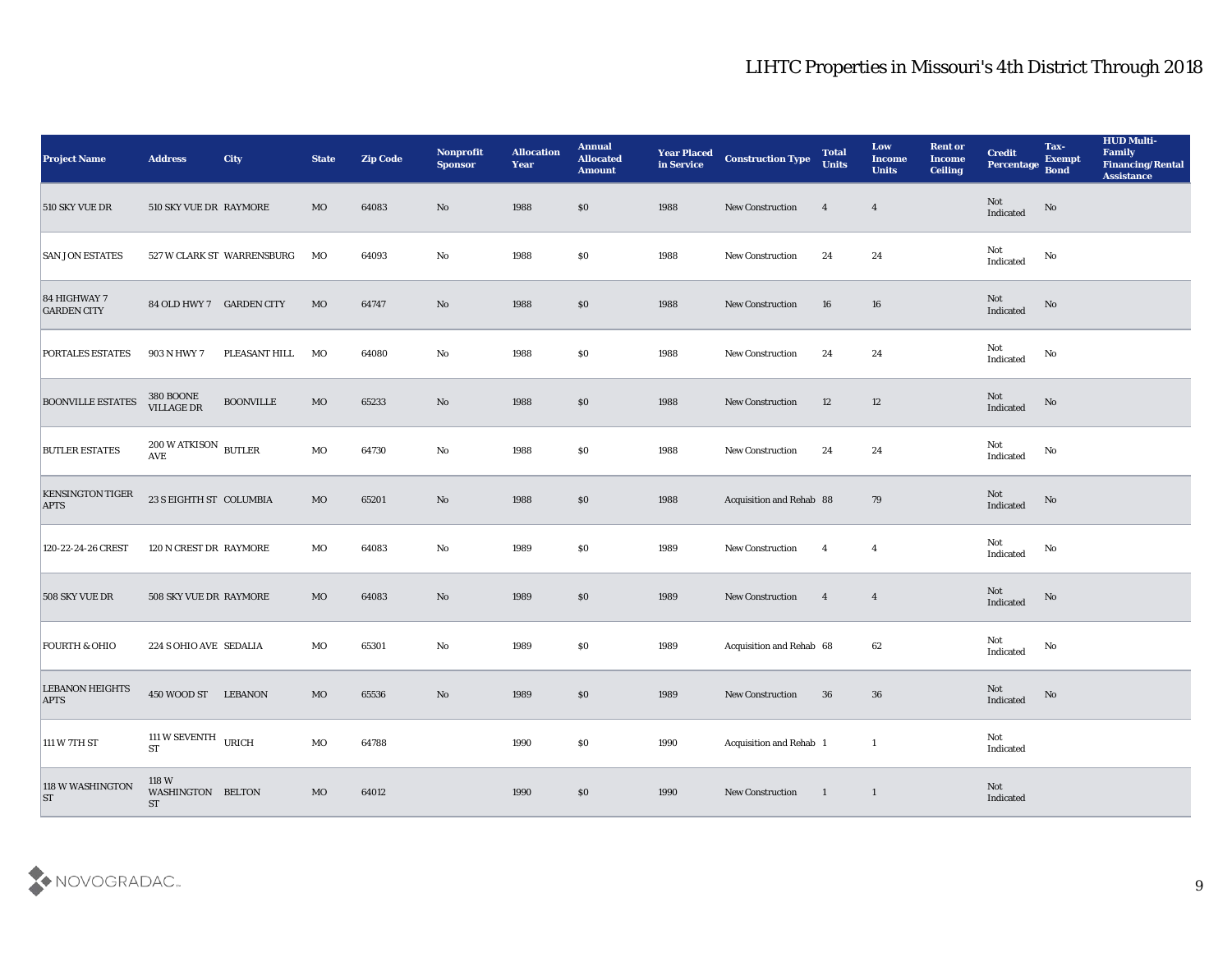| <b>Project Name</b>                    | <b>Address</b>                                      | <b>City</b>                | <b>State</b> | <b>Zip Code</b> | Nonprofit<br><b>Sponsor</b> | <b>Allocation</b><br><b>Year</b> | <b>Annual</b><br><b>Allocated</b><br><b>Amount</b> | <b>Year Placed</b><br>in Service | <b>Construction Type</b> | <b>Total</b><br><b>Units</b> | Low<br><b>Income</b><br><b>Units</b> | <b>Rent or</b><br><b>Income</b><br><b>Ceiling</b> | <b>Credit</b><br>Percentage Bond  | Tax-<br><b>Exempt</b>  | <b>HUD Multi-</b><br>Family<br><b>Financing/Rental</b><br><b>Assistance</b> |
|----------------------------------------|-----------------------------------------------------|----------------------------|--------------|-----------------|-----------------------------|----------------------------------|----------------------------------------------------|----------------------------------|--------------------------|------------------------------|--------------------------------------|---------------------------------------------------|-----------------------------------|------------------------|-----------------------------------------------------------------------------|
| 510 SKY VUE DR                         | 510 SKY VUE DR RAYMORE                              |                            | MO           | 64083           | No                          | 1988                             | $\$0$                                              | 1988                             | New Construction         | $\overline{4}$               | $\overline{4}$                       |                                                   | Not<br>Indicated                  | $\mathbf{N}\mathbf{o}$ |                                                                             |
| <b>SAN JON ESTATES</b>                 |                                                     | 527 W CLARK ST WARRENSBURG | МO           | 64093           | No                          | 1988                             | \$0                                                | 1988                             | <b>New Construction</b>  | 24                           | 24                                   |                                                   | Not<br>Indicated                  | No                     |                                                                             |
| 84 HIGHWAY 7<br><b>GARDEN CITY</b>     | 84 OLD HWY 7 GARDEN CITY                            |                            | MO           | 64747           | No                          | 1988                             | $\$0$                                              | 1988                             | <b>New Construction</b>  | 16                           | 16                                   |                                                   | Not<br>Indicated                  | No                     |                                                                             |
| PORTALES ESTATES                       | 903 N HWY 7                                         | PLEASANT HILL              | MO           | 64080           | No                          | 1988                             | $\$0$                                              | 1988                             | New Construction         | 24                           | 24                                   |                                                   | Not<br>$\operatorname{Indicated}$ | No                     |                                                                             |
| <b>BOONVILLE ESTATES</b>               | <b>380 BOONE</b><br>VILLAGE DR                      | <b>BOONVILLE</b>           | MO           | 65233           | $\mathbf{N}\mathbf{o}$      | 1988                             | $\$0$                                              | 1988                             | <b>New Construction</b>  | 12                           | 12                                   |                                                   | Not<br>Indicated                  | No                     |                                                                             |
| <b>BUTLER ESTATES</b>                  | $200$ W ATKISON $\,$ BUTLER<br>$\operatorname{AVE}$ |                            | MO           | 64730           | No                          | 1988                             | $\$0$                                              | 1988                             | <b>New Construction</b>  | 24                           | 24                                   |                                                   | Not<br>Indicated                  | No                     |                                                                             |
| <b>KENSINGTON TIGER</b><br><b>APTS</b> | 23 S EIGHTH ST COLUMBIA                             |                            | MO           | 65201           | $\mathbf{N}\mathbf{o}$      | 1988                             | \$0                                                | 1988                             | Acquisition and Rehab 88 |                              | 79                                   |                                                   | Not<br>Indicated                  | No                     |                                                                             |
| 120-22-24-26 CREST                     | 120 N CREST DR RAYMORE                              |                            | MO           | 64083           | $\mathbf{No}$               | 1989                             | \$0                                                | 1989                             | New Construction         | $\overline{4}$               | $\overline{4}$                       |                                                   | Not<br>Indicated                  | No                     |                                                                             |
| 508 SKY VUE DR                         | 508 SKY VUE DR RAYMORE                              |                            | MO           | 64083           | $\mathbf{N}\mathbf{o}$      | 1989                             | \$0                                                | 1989                             | New Construction         | $\overline{4}$               | $\overline{4}$                       |                                                   | Not<br>Indicated                  | No                     |                                                                             |
| <b>FOURTH &amp; OHIO</b>               | 224 S OHIO AVE SEDALIA                              |                            | MO           | 65301           | $\mathbf{No}$               | 1989                             | $\$0$                                              | 1989                             | Acquisition and Rehab 68 |                              | 62                                   |                                                   | Not<br>Indicated                  | No                     |                                                                             |
| <b>LEBANON HEIGHTS</b><br><b>APTS</b>  | 450 WOOD ST LEBANON                                 |                            | MO           | 65536           | No                          | 1989                             | \$0                                                | 1989                             | <b>New Construction</b>  | 36                           | 36                                   |                                                   | Not<br>Indicated                  | No                     |                                                                             |
| 111 W 7TH ST                           | 111 W SEVENTH URICH<br>$\operatorname{ST}$          |                            | $_{\rm MO}$  | 64788           |                             | 1990                             | \$0                                                | 1990                             | Acquisition and Rehab 1  |                              | $\mathbf{1}$                         |                                                   | Not<br>Indicated                  |                        |                                                                             |
| 118 W WASHINGTON<br>ST                 | 118 W<br>WASHINGTON BELTON<br>${\rm ST}$            |                            | $_{\rm MO}$  | 64012           |                             | 1990                             | $\$0$                                              | 1990                             | New Construction 1       |                              | $\overline{1}$                       |                                                   | Not<br>Indicated                  |                        |                                                                             |

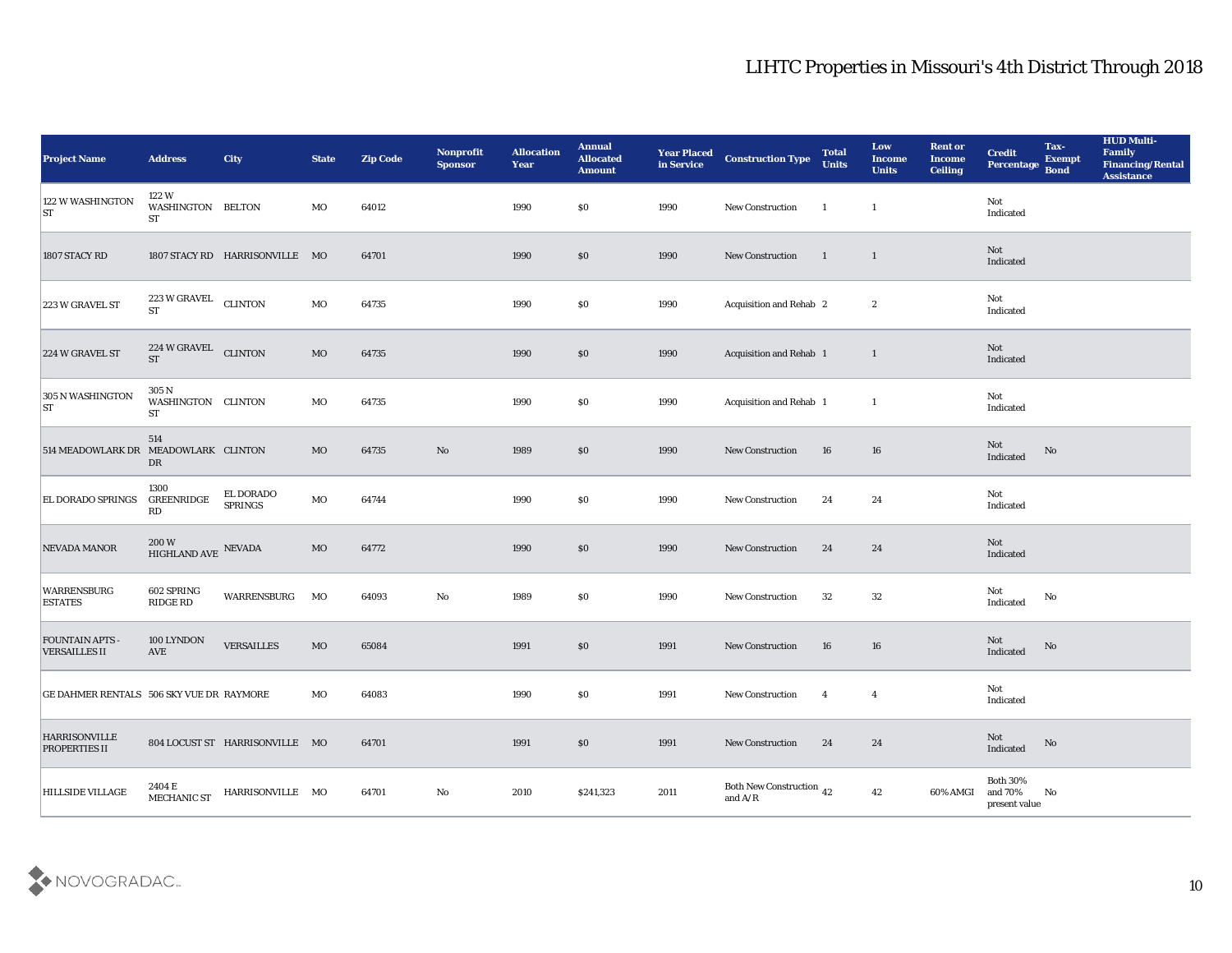| <b>Project Name</b>                          | <b>Address</b>                             | City                           | <b>State</b> | <b>Zip Code</b> | Nonprofit<br><b>Sponsor</b> | <b>Allocation</b><br><b>Year</b> | <b>Annual</b><br><b>Allocated</b><br><b>Amount</b> | <b>Year Placed</b><br>in Service | <b>Construction Type</b>                                                                        | <b>Total</b><br><b>Units</b> | Low<br><b>Income</b><br><b>Units</b> | <b>Rent or</b><br><b>Income</b><br><b>Ceiling</b> | <b>Credit</b><br>Percentage             | Tax-<br><b>Exempt</b><br><b>Bond</b> | <b>HUD Multi-</b><br>Family<br><b>Financing/Rental</b><br><b>Assistance</b> |
|----------------------------------------------|--------------------------------------------|--------------------------------|--------------|-----------------|-----------------------------|----------------------------------|----------------------------------------------------|----------------------------------|-------------------------------------------------------------------------------------------------|------------------------------|--------------------------------------|---------------------------------------------------|-----------------------------------------|--------------------------------------|-----------------------------------------------------------------------------|
| 122 W WASHINGTON<br> ST                      | 122 W<br>WASHINGTON BELTON<br>ST           |                                | MO           | 64012           |                             | 1990                             | $\$0$                                              | 1990                             | New Construction                                                                                | -1                           | $\mathbf{1}$                         |                                                   | Not<br>Indicated                        |                                      |                                                                             |
| 1807 STACY RD                                |                                            | 1807 STACY RD HARRISONVILLE MO |              | 64701           |                             | 1990                             | $\$0$                                              | 1990                             | New Construction                                                                                | $\blacksquare$               | $\mathbf{1}$                         |                                                   | Not<br>Indicated                        |                                      |                                                                             |
| 223 W GRAVEL ST                              | 223 W GRAVEL<br><b>ST</b>                  | <b>CLINTON</b>                 | MO           | 64735           |                             | 1990                             | \$0                                                | 1990                             | Acquisition and Rehab 2                                                                         |                              | $\boldsymbol{2}$                     |                                                   | Not<br>Indicated                        |                                      |                                                                             |
| 224 W GRAVEL ST                              | 224 W GRAVEL CLINTON<br><b>ST</b>          |                                | $_{\rm MO}$  | 64735           |                             | 1990                             | \$0                                                | 1990                             | Acquisition and Rehab 1                                                                         |                              | $\mathbf{1}$                         |                                                   | Not<br>Indicated                        |                                      |                                                                             |
| 305 N WASHINGTON<br> ST                      | 305 N<br>WASHINGTON CLINTON<br>ST          |                                | MO           | 64735           |                             | 1990                             | \$0                                                | 1990                             | <b>Acquisition and Rehab 1</b>                                                                  |                              | -1                                   |                                                   | Not<br>Indicated                        |                                      |                                                                             |
| 514 MEADOWLARK DR MEADOWLARK CLINTON         | 514<br>DR                                  |                                | MO           | 64735           | No                          | 1989                             | $\$0$                                              | 1990                             | New Construction                                                                                | 16                           | 16                                   |                                                   | Not<br>Indicated                        | No                                   |                                                                             |
| <b>EL DORADO SPRINGS</b>                     | 1300<br><b>GREENRIDGE</b><br>RD            | EL DORADO<br><b>SPRINGS</b>    | MO           | 64744           |                             | 1990                             | \$0                                                | 1990                             | <b>New Construction</b>                                                                         | 24                           | 24                                   |                                                   | Not<br>Indicated                        |                                      |                                                                             |
| <b>NEVADA MANOR</b>                          | $200\,\mathrm{W}$ HIGHLAND AVE $\,$ NEVADA |                                | $_{\rm MO}$  | 64772           |                             | 1990                             | \$0                                                | 1990                             | New Construction                                                                                | 24                           | 24                                   |                                                   | Not<br>Indicated                        |                                      |                                                                             |
| <b>WARRENSBURG</b><br><b>ESTATES</b>         | 602 SPRING<br>RIDGE RD                     | WARRENSBURG                    | MO           | 64093           | $\mathbf{No}$               | 1989                             | \$0                                                | 1990                             | New Construction                                                                                | 32                           | 32                                   |                                                   | Not<br>Indicated                        | $\mathbf{N}\mathbf{o}$               |                                                                             |
| <b>FOUNTAIN APTS</b><br><b>VERSAILLES II</b> | 100 LYNDON<br>AVE                          | <b>VERSAILLES</b>              | MO           | 65084           |                             | 1991                             | $\$0$                                              | 1991                             | <b>New Construction</b>                                                                         | 16                           | 16                                   |                                                   | Not<br>Indicated                        | No                                   |                                                                             |
| GE DAHMER RENTALS 506 SKY VUE DR RAYMORE     |                                            |                                | MO           | 64083           |                             | 1990                             | \$0                                                | 1991                             | New Construction                                                                                | $\overline{\mathbf{4}}$      | $\overline{4}$                       |                                                   | Not<br>Indicated                        |                                      |                                                                             |
| <b>HARRISONVILLE</b><br><b>PROPERTIES II</b> |                                            | 804 LOCUST ST HARRISONVILLE MO |              | 64701           |                             | 1991                             | $\boldsymbol{\mathsf{S}}\boldsymbol{\mathsf{O}}$   | 1991                             | New Construction                                                                                | 24                           | 24                                   |                                                   | Not<br>Indicated                        | $\rm \bf No$                         |                                                                             |
| <b>HILLSIDE VILLAGE</b>                      | 2404 E<br>MECHANIC ST                      | HARRISONVILLE MO               |              | 64701           | $\mathbf {No}$              | 2010                             | \$241,323                                          | 2011                             | Both New Construction 42<br>and $\ensuremath{\mathrm{A}}\xspace/\ensuremath{\mathrm{R}}\xspace$ |                              | $42\,$                               | 60% AMGI                                          | Both $30\%$<br>and 70%<br>present value | No                                   |                                                                             |

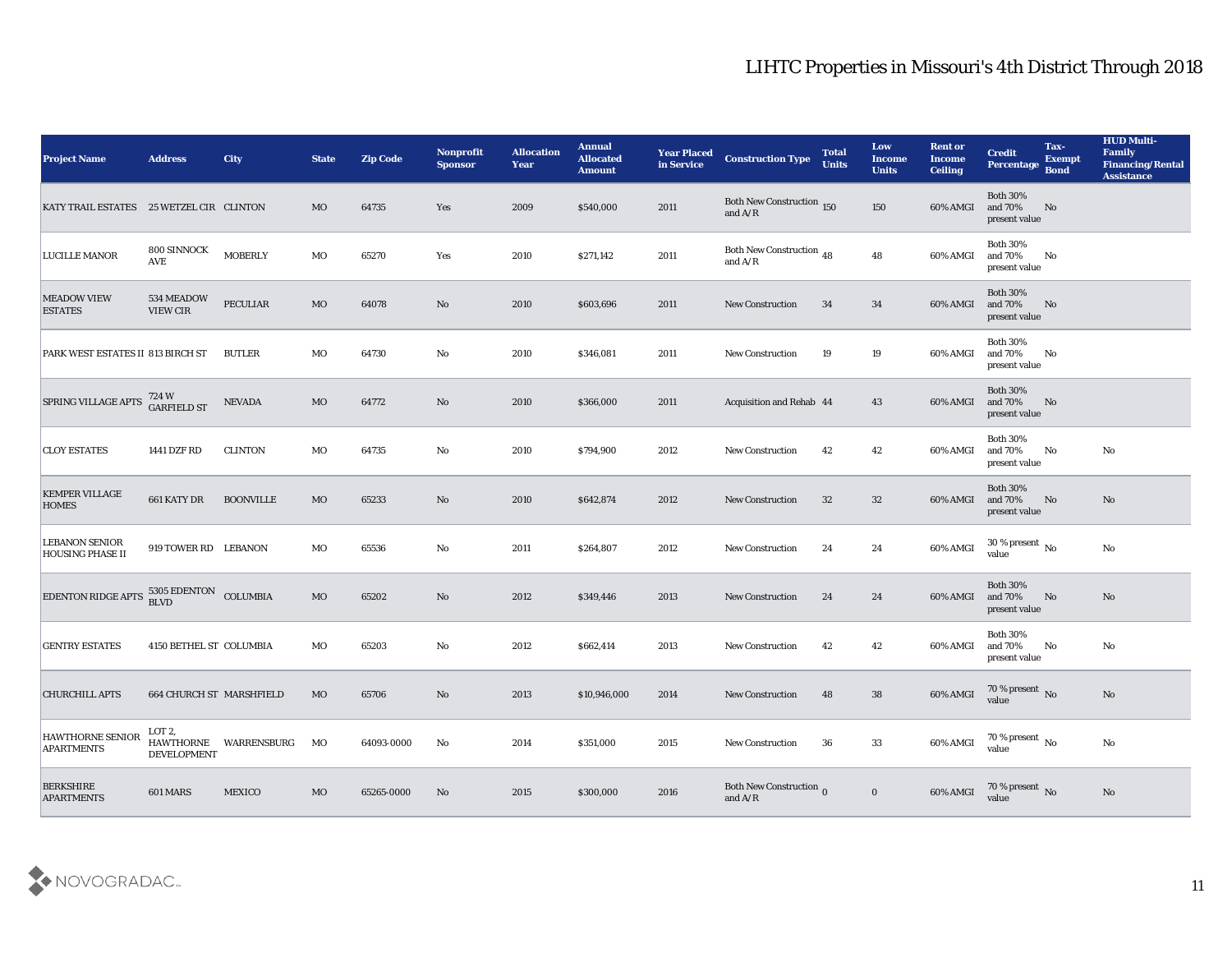| <b>Project Name</b>                              | <b>Address</b>                     | <b>City</b>              | <b>State</b> | <b>Zip Code</b> | Nonprofit<br><b>Sponsor</b> | <b>Allocation</b><br><b>Year</b> | <b>Annual</b><br><b>Allocated</b><br><b>Amount</b> | <b>Year Placed</b><br>in Service | <b>Construction Type</b>                                                            | <b>Total</b><br><b>Units</b> | Low<br><b>Income</b><br><b>Units</b> | <b>Rent or</b><br>Income<br><b>Ceiling</b> | <b>Credit</b><br>Percentage                 | Tax-<br><b>Exempt</b><br><b>Bond</b> | <b>HUD Multi-</b><br>Family<br><b>Financing/Rental</b><br><b>Assistance</b> |
|--------------------------------------------------|------------------------------------|--------------------------|--------------|-----------------|-----------------------------|----------------------------------|----------------------------------------------------|----------------------------------|-------------------------------------------------------------------------------------|------------------------------|--------------------------------------|--------------------------------------------|---------------------------------------------|--------------------------------------|-----------------------------------------------------------------------------|
| KATY TRAIL ESTATES 25 WETZEL CIR CLINTON         |                                    |                          | MO           | 64735           | Yes                         | 2009                             | \$540,000                                          | 2011                             | Both New Construction 150<br>and $\ensuremath{\mathrm{A}}/\ensuremath{\mathrm{R}}$  |                              | 150                                  | 60% AMGI                                   | <b>Both 30%</b><br>and 70%<br>present value | No                                   |                                                                             |
| <b>LUCILLE MANOR</b>                             | 800 SINNOCK<br><b>AVE</b>          | <b>MOBERLY</b>           | MO           | 65270           | Yes                         | 2010                             | \$271,142                                          | 2011                             | Both New Construction 48<br>and $\ensuremath{\mathrm{A}}/\ensuremath{\mathrm{R}}$   |                              | 48                                   | 60% AMGI                                   | <b>Both 30%</b><br>and 70%<br>present value | No                                   |                                                                             |
| <b>MEADOW VIEW</b><br><b>ESTATES</b>             | 534 MEADOW<br><b>VIEW CIR</b>      | <b>PECULIAR</b>          | MO           | 64078           | No                          | 2010                             | \$603,696                                          | 2011                             | <b>New Construction</b>                                                             | 34                           | 34                                   | 60% AMGI                                   | <b>Both 30%</b><br>and 70%<br>present value | No                                   |                                                                             |
| PARK WEST ESTATES II 813 BIRCH ST                |                                    | <b>BUTLER</b>            | MO           | 64730           | No                          | 2010                             | \$346,081                                          | 2011                             | <b>New Construction</b>                                                             | 19                           | 19                                   | 60% AMGI                                   | <b>Both 30%</b><br>and 70%<br>present value | No                                   |                                                                             |
| SPRING VILLAGE APTS                              | 724 W<br>GARFIELD ST               | <b>NEVADA</b>            | MO           | 64772           | No                          | 2010                             | \$366,000                                          | 2011                             | <b>Acquisition and Rehab 44</b>                                                     |                              | 43                                   | 60% AMGI                                   | <b>Both 30%</b><br>and 70%<br>present value | No                                   |                                                                             |
| <b>CLOY ESTATES</b>                              | 1441 DZF RD                        | <b>CLINTON</b>           | MO           | 64735           | No                          | 2010                             | \$794,900                                          | 2012                             | <b>New Construction</b>                                                             | 42                           | 42                                   | 60% AMGI                                   | <b>Both 30%</b><br>and 70%<br>present value | No                                   | No                                                                          |
| <b>KEMPER VILLAGE</b><br><b>HOMES</b>            | 661 KATY DR                        | <b>BOONVILLE</b>         | MO           | 65233           | No                          | 2010                             | \$642,874                                          | 2012                             | <b>New Construction</b>                                                             | 32                           | 32                                   | 60% AMGI                                   | <b>Both 30%</b><br>and 70%<br>present value | No                                   | No                                                                          |
| <b>LEBANON SENIOR</b><br><b>HOUSING PHASE II</b> | 919 TOWER RD LEBANON               |                          | MO           | 65536           | No                          | 2011                             | \$264,807                                          | 2012                             | <b>New Construction</b>                                                             | 24                           | 24                                   | 60% AMGI                                   | 30 % present $\,$ No $\,$<br>value          |                                      | No                                                                          |
| <b>EDENTON RIDGE APTS</b>                        | $5305$ EDENTON $\,$<br><b>BLVD</b> | COLUMBIA                 | MO           | 65202           | No                          | 2012                             | \$349,446                                          | 2013                             | <b>New Construction</b>                                                             | 24                           | 24                                   | 60% AMGI                                   | <b>Both 30%</b><br>and 70%<br>present value | No                                   | No                                                                          |
| <b>GENTRY ESTATES</b>                            | 4150 BETHEL ST COLUMBIA            |                          | MO           | 65203           | No                          | 2012                             | \$662,414                                          | 2013                             | <b>New Construction</b>                                                             | 42                           | 42                                   | 60% AMGI                                   | <b>Both 30%</b><br>and 70%<br>present value | No                                   | No                                                                          |
| <b>CHURCHILL APTS</b>                            | 664 CHURCH ST MARSHFIELD           |                          | MO           | 65706           | No                          | 2013                             | \$10,946,000                                       | 2014                             | <b>New Construction</b>                                                             | 48                           | 38                                   | 60% AMGI                                   | 70 % present No<br>value                    |                                      | No                                                                          |
| <b>HAWTHORNE SENIOR</b><br><b>APARTMENTS</b>     | LOT 2,<br><b>DEVELOPMENT</b>       | HAWTHORNE WARRENSBURG MO |              | 64093-0000      | $\mathbf{N}\mathbf{o}$      | 2014                             | \$351,000                                          | 2015                             | New Construction                                                                    | 36                           | 33                                   | 60% AMGI                                   | $70\,\%$ present $\,$ No value              |                                      | $\mathbf{N}\mathbf{o}$                                                      |
| <b>BERKSHIRE</b><br><b>APARTMENTS</b>            | <b>601 MARS</b>                    | <b>MEXICO</b>            | $_{\rm MO}$  | 65265-0000      | $\rm No$                    | 2015                             | \$300,000                                          | 2016                             | Both New Construction $_0$<br>and $\ensuremath{\mathrm{A}}/\ensuremath{\mathrm{R}}$ |                              | $\mathbf 0$                          | 60% AMGI                                   | $70\,\%$ present $\,$ No value              |                                      | $\mathbf {No}$                                                              |

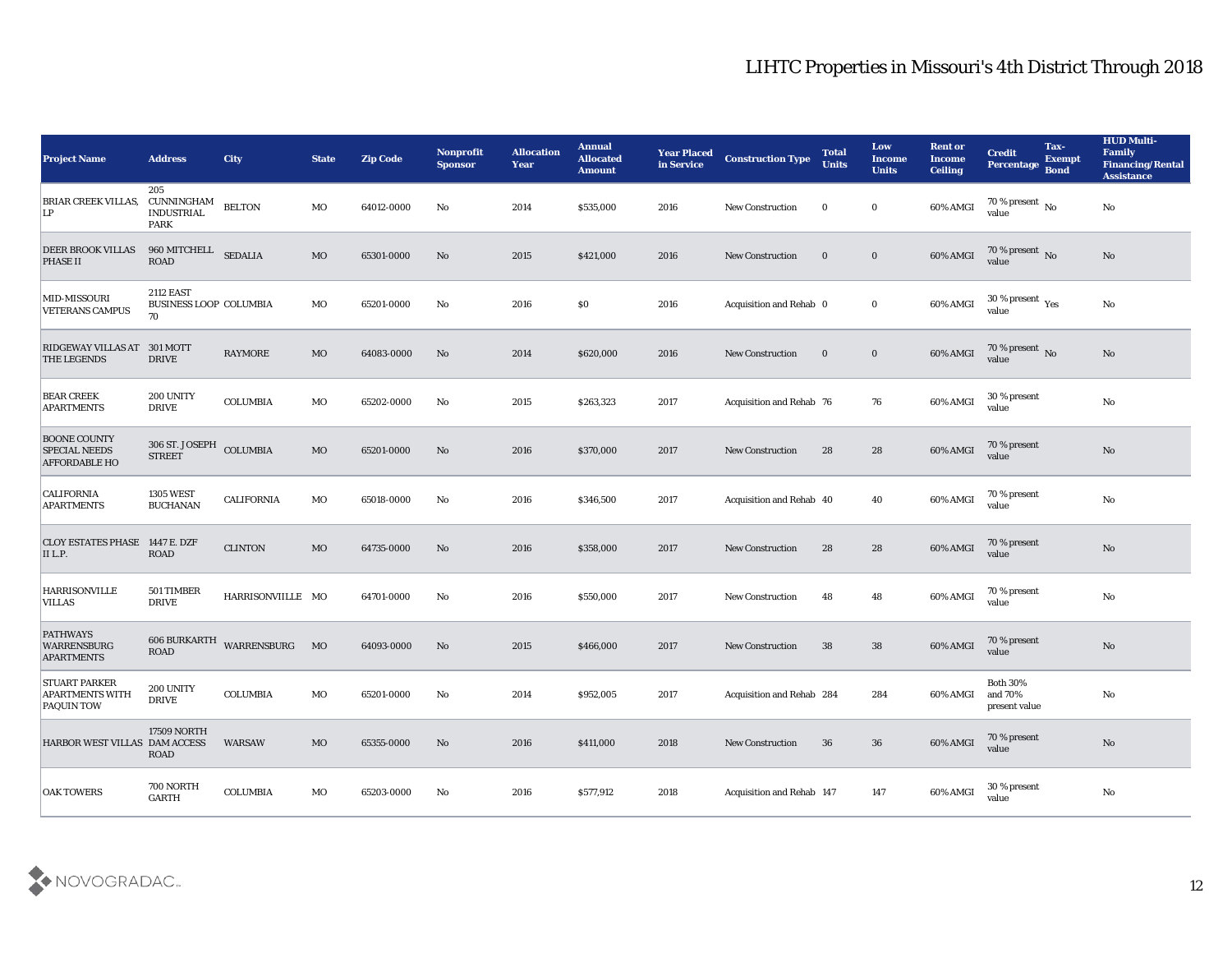| <b>Project Name</b>                                                 | <b>Address</b>                                          | <b>City</b>       | <b>State</b> | <b>Zip Code</b> | Nonprofit<br><b>Sponsor</b> | <b>Allocation</b><br><b>Year</b> | <b>Annual</b><br><b>Allocated</b><br><b>Amount</b> | <b>Year Placed</b><br>in Service | <b>Construction Type</b>  | <b>Total</b><br><b>Units</b> | Low<br><b>Income</b><br><b>Units</b> | <b>Rent or</b><br><b>Income</b><br><b>Ceiling</b> | <b>Credit</b><br>Percentage Bond                 | Tax-<br><b>Exempt</b> | <b>HUD Multi-</b><br>Family<br><b>Financing/Rental</b><br><b>Assistance</b> |
|---------------------------------------------------------------------|---------------------------------------------------------|-------------------|--------------|-----------------|-----------------------------|----------------------------------|----------------------------------------------------|----------------------------------|---------------------------|------------------------------|--------------------------------------|---------------------------------------------------|--------------------------------------------------|-----------------------|-----------------------------------------------------------------------------|
| <b>BRIAR CREEK VILLAS.</b><br>LP                                    | 205<br>CUNNINGHAM<br><b>INDUSTRIAL</b><br><b>PARK</b>   | <b>BELTON</b>     | MO           | 64012-0000      | No                          | 2014                             | \$535,000                                          | 2016                             | <b>New Construction</b>   | $\bf{0}$                     | $\bf{0}$                             | 60% AMGI                                          | 70 % present $\overline{N_0}$<br>value           |                       | No                                                                          |
| <b>DEER BROOK VILLAS</b><br><b>PHASE II</b>                         | 960 MITCHELL<br><b>ROAD</b>                             | <b>SEDALIA</b>    | <b>MO</b>    | 65301-0000      | No                          | 2015                             | \$421,000                                          | 2016                             | <b>New Construction</b>   | $\mathbf{0}$                 | $\bf{0}$                             | 60% AMGI                                          | 70 % present No<br>value                         |                       | No                                                                          |
| MID-MISSOURI<br><b>VETERANS CAMPUS</b>                              | <b>2112 EAST</b><br><b>BUSINESS LOOP COLUMBIA</b><br>70 |                   | MO           | 65201-0000      | No                          | 2016                             | $\$0$                                              | 2016                             | Acquisition and Rehab 0   |                              | $\bf{0}$                             | 60% AMGI                                          | $30$ % present $\,$ $\rm Yes$<br>value           |                       | No                                                                          |
| RIDGEWAY VILLAS AT 301 MOTT<br><b>THE LEGENDS</b>                   | <b>DRIVE</b>                                            | <b>RAYMORE</b>    | MO           | 64083-0000      | No                          | 2014                             | \$620,000                                          | 2016                             | <b>New Construction</b>   | $\bf{0}$                     | $\bf{0}$                             | 60% AMGI                                          | $70\,\%$ present $\,$ No value                   |                       | No                                                                          |
| <b>BEAR CREEK</b><br><b>APARTMENTS</b>                              | 200 UNITY<br><b>DRIVE</b>                               | <b>COLUMBIA</b>   | MO           | 65202-0000      | No                          | 2015                             | \$263,323                                          | 2017                             | Acquisition and Rehab 76  |                              | 76                                   | 60% AMGI                                          | 30 % present<br>value                            |                       | No                                                                          |
| <b>BOONE COUNTY</b><br><b>SPECIAL NEEDS</b><br><b>AFFORDABLE HO</b> | 306 ST. JOSEPH COLUMBIA<br><b>STREET</b>                |                   | MO           | 65201-0000      | No                          | 2016                             | \$370,000                                          | 2017                             | <b>New Construction</b>   | 28                           | 28                                   | 60% AMGI                                          | 70 % present<br>value                            |                       | No                                                                          |
| <b>CALIFORNIA</b><br><b>APARTMENTS</b>                              | <b>1305 WEST</b><br><b>BUCHANAN</b>                     | <b>CALIFORNIA</b> | MO           | 65018-0000      | No                          | 2016                             | \$346,500                                          | 2017                             | Acquisition and Rehab 40  |                              | 40                                   | 60% AMGI                                          | 70 % present<br>value                            |                       | No                                                                          |
| CLOY ESTATES PHASE 1447 E. DZF<br>II L.P.                           | <b>ROAD</b>                                             | <b>CLINTON</b>    | MO           | 64735-0000      | No                          | 2016                             | \$358,000                                          | 2017                             | <b>New Construction</b>   | 28                           | 28                                   | 60% AMGI                                          | 70 % present<br>value                            |                       | No                                                                          |
| <b>HARRISONVILLE</b><br>VILLAS                                      | 501 TIMBER<br><b>DRIVE</b>                              | HARRISONVIILLE MO |              | 64701-0000      | No                          | 2016                             | \$550,000                                          | 2017                             | <b>New Construction</b>   | 48                           | 48                                   | 60% AMGI                                          | 70 % present<br>value                            |                       | $\mathbf{N}\mathbf{o}$                                                      |
| <b>PATHWAYS</b><br><b>WARRENSBURG</b><br><b>APARTMENTS</b>          | <b>606 BURKARTH</b><br><b>ROAD</b>                      | WARRENSBURG       | MO           | 64093-0000      | No                          | 2015                             | \$466,000                                          | 2017                             | <b>New Construction</b>   | 38                           | 38                                   | 60% AMGI                                          | 70 % present<br>value                            |                       | No                                                                          |
| <b>STUART PARKER</b><br><b>APARTMENTS WITH</b><br><b>PAQUIN TOW</b> | 200 UNITY<br><b>DRIVE</b>                               | <b>COLUMBIA</b>   | MO           | 65201-0000      | No                          | 2014                             | \$952,005                                          | 2017                             | Acquisition and Rehab 284 |                              | 284                                  | 60% AMGI                                          | <b>Both 30%</b><br>and 70%<br>$\,$ present value |                       | No                                                                          |
| HARBOR WEST VILLAS DAM ACCESS                                       | <b>17509 NORTH</b><br><b>ROAD</b>                       | WARSAW            | $\rm MO$     | 65355-0000      | $\rm\thinspace No$          | 2016                             | \$411,000                                          | 2018                             | New Construction          | 36                           | 36                                   | 60% AMGI                                          | 70 % present<br>value                            |                       | $\rm No$                                                                    |
| <b>OAK TOWERS</b>                                                   | 700 NORTH<br><b>GARTH</b>                               | COLUMBIA          | $_{\rm MO}$  | 65203-0000      | $\rm\thinspace No$          | 2016                             | \$577,912                                          | 2018                             | Acquisition and Rehab 147 |                              | 147                                  | 60% AMGI                                          | 30 % present<br>value                            |                       | $\mathbf {No}$                                                              |